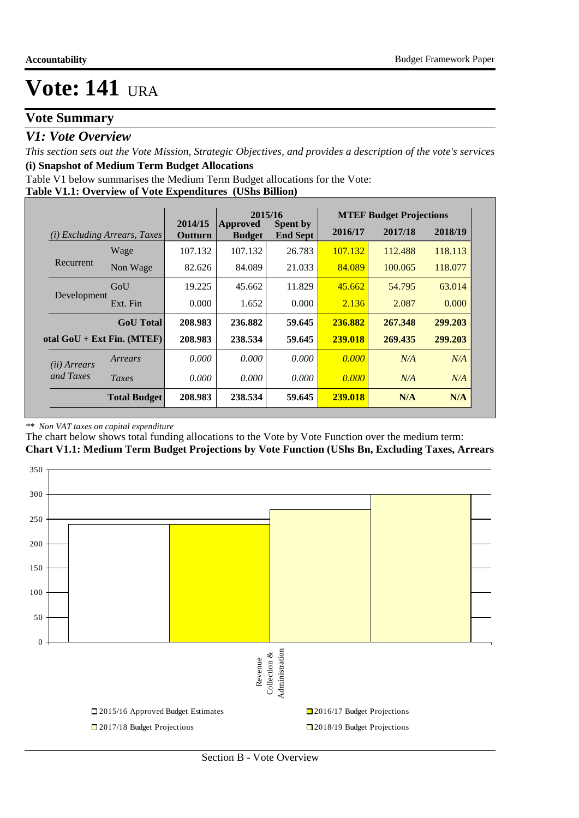### **Vote Summary**

### *V1: Vote Overview*

*This section sets out the Vote Mission, Strategic Objectives, and provides a description of the vote's services* **(i) Snapshot of Medium Term Budget Allocations** 

Table V1 below summarises the Medium Term Budget allocations for the Vote:

#### **Table V1.1: Overview of Vote Expenditures (UShs Billion)**

|                       |                                 |                    | 2015/16                          |                                    |         | <b>MTEF Budget Projections</b> |         |
|-----------------------|---------------------------------|--------------------|----------------------------------|------------------------------------|---------|--------------------------------|---------|
| (i)                   | <i>Excluding Arrears, Taxes</i> | 2014/15<br>Outturn | <b>Approved</b><br><b>Budget</b> | <b>Spent by</b><br><b>End Sept</b> | 2016/17 | 2017/18                        | 2018/19 |
|                       | Wage                            | 107.132            | 107.132                          | 26.783                             | 107.132 | 112.488                        | 118.113 |
| Recurrent             | Non Wage                        | 82.626             | 84.089                           | 21.033                             | 84.089  | 100.065                        | 118.077 |
|                       | GoU                             | 19.225             | 45.662                           | 11.829                             | 45.662  | 54.795                         | 63.014  |
| Development           | Ext. Fin                        | 0.000              | 1.652                            | 0.000                              | 2.136   | 2.087                          | 0.000   |
|                       | <b>GoU</b> Total                | 208.983            | 236.882                          | 59.645                             | 236.882 | 267.348                        | 299.203 |
|                       | otal $GoU + Ext Fin. (MTEF)$    | 208.983            | 238.534                          | 59.645                             | 239.018 | 269.435                        | 299.203 |
| ( <i>ii</i> ) Arrears | Arrears                         | 0.000              | 0.000                            | 0.000                              | 0.000   | N/A                            | N/A     |
| and Taxes             | Taxes                           | 0.000              | 0.000                            | 0.000                              | 0.000   | N/A                            | N/A     |
|                       | <b>Total Budget</b>             | 208.983            | 238.534                          | 59.645                             | 239.018 | N/A                            | N/A     |

#### *\*\* Non VAT taxes on capital expenditure*

The chart below shows total funding allocations to the Vote by Vote Function over the medium term: **Chart V1.1: Medium Term Budget Projections by Vote Function (UShs Bn, Excluding Taxes, Arrears**

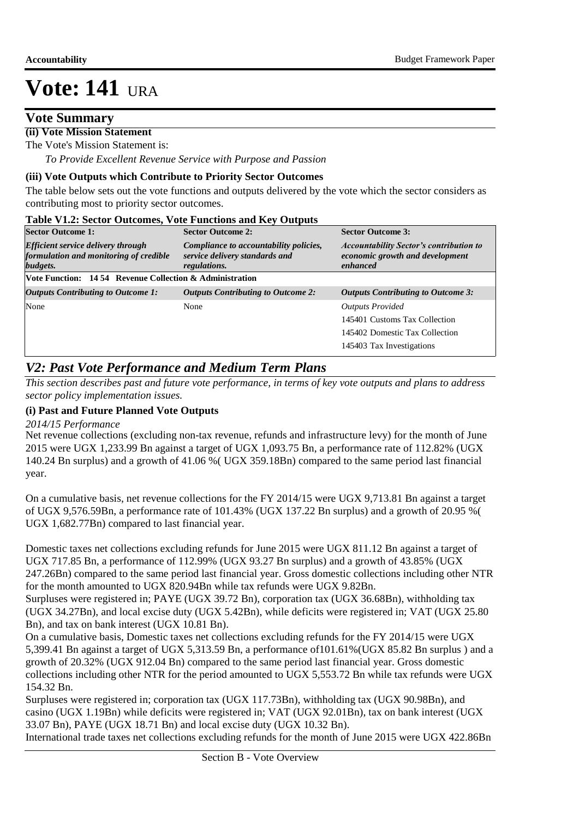### **Vote Summary**

#### **(ii) Vote Mission Statement**

The Vote's Mission Statement is:

 *To Provide Excellent Revenue Service with Purpose and Passion*

#### **(iii) Vote Outputs which Contribute to Priority Sector Outcomes**

The table below sets out the vote functions and outputs delivered by the vote which the sector considers as contributing most to priority sector outcomes.

|  | Table V1.2: Sector Outcomes, Vote Functions and Key Outputs |  |  |
|--|-------------------------------------------------------------|--|--|
|  |                                                             |  |  |

| <b>Sector Outcome 1:</b>                                                                        | <b>Sector Outcome 2:</b>                                                                 | <b>Sector Outcome 3:</b>                                                                      |
|-------------------------------------------------------------------------------------------------|------------------------------------------------------------------------------------------|-----------------------------------------------------------------------------------------------|
| <b>Efficient service delivery through</b><br>formulation and monitoring of credible<br>budgets. | Compliance to accountability policies,<br>service delivery standards and<br>regulations. | <b>Accountability Sector's contribution to</b><br>economic growth and development<br>enhanced |
| Vote Function: 14 54 Revenue Collection & Administration                                        |                                                                                          |                                                                                               |
| <b>Outputs Contributing to Outcome 1:</b>                                                       | <b>Outputs Contributing to Outcome 2:</b>                                                | <b>Outputs Contributing to Outcome 3:</b>                                                     |
| None                                                                                            | None                                                                                     | <b>Outputs Provided</b>                                                                       |
|                                                                                                 |                                                                                          | 145401 Customs Tax Collection                                                                 |
|                                                                                                 |                                                                                          | 145402 Domestic Tax Collection                                                                |
|                                                                                                 |                                                                                          | 145403 Tax Investigations                                                                     |

### *V2: Past Vote Performance and Medium Term Plans*

*This section describes past and future vote performance, in terms of key vote outputs and plans to address sector policy implementation issues.* 

#### **(i) Past and Future Planned Vote Outputs**

*2014/15 Performance*

Net revenue collections (excluding non-tax revenue, refunds and infrastructure levy) for the month of June 2015 were UGX 1,233.99 Bn against a target of UGX 1,093.75 Bn, a performance rate of 112.82% (UGX 140.24 Bn surplus) and a growth of 41.06 %( UGX 359.18Bn) compared to the same period last financial year.

On a cumulative basis, net revenue collections for the FY 2014/15 were UGX 9,713.81 Bn against a target of UGX 9,576.59Bn, a performance rate of 101.43% (UGX 137.22 Bn surplus) and a growth of 20.95 %( UGX 1,682.77Bn) compared to last financial year.

Domestic taxes net collections excluding refunds for June 2015 were UGX 811.12 Bn against a target of UGX 717.85 Bn, a performance of 112.99% (UGX 93.27 Bn surplus) and a growth of 43.85% (UGX 247.26Bn) compared to the same period last financial year. Gross domestic collections including other NTR for the month amounted to UGX 820.94Bn while tax refunds were UGX 9.82Bn.

Surpluses were registered in; PAYE (UGX 39.72 Bn), corporation tax (UGX 36.68Bn), withholding tax (UGX 34.27Bn), and local excise duty (UGX 5.42Bn), while deficits were registered in; VAT (UGX 25.80 Bn), and tax on bank interest (UGX 10.81 Bn).

On a cumulative basis, Domestic taxes net collections excluding refunds for the FY 2014/15 were UGX 5,399.41 Bn against a target of UGX 5,313.59 Bn, a performance of101.61%(UGX 85.82 Bn surplus ) and a growth of 20.32% (UGX 912.04 Bn) compared to the same period last financial year. Gross domestic collections including other NTR for the period amounted to UGX 5,553.72 Bn while tax refunds were UGX 154.32 Bn.

Surpluses were registered in; corporation tax (UGX 117.73Bn), withholding tax (UGX 90.98Bn), and casino (UGX 1.19Bn) while deficits were registered in; VAT (UGX 92.01Bn), tax on bank interest (UGX 33.07 Bn), PAYE (UGX 18.71 Bn) and local excise duty (UGX 10.32 Bn).

International trade taxes net collections excluding refunds for the month of June 2015 were UGX 422.86Bn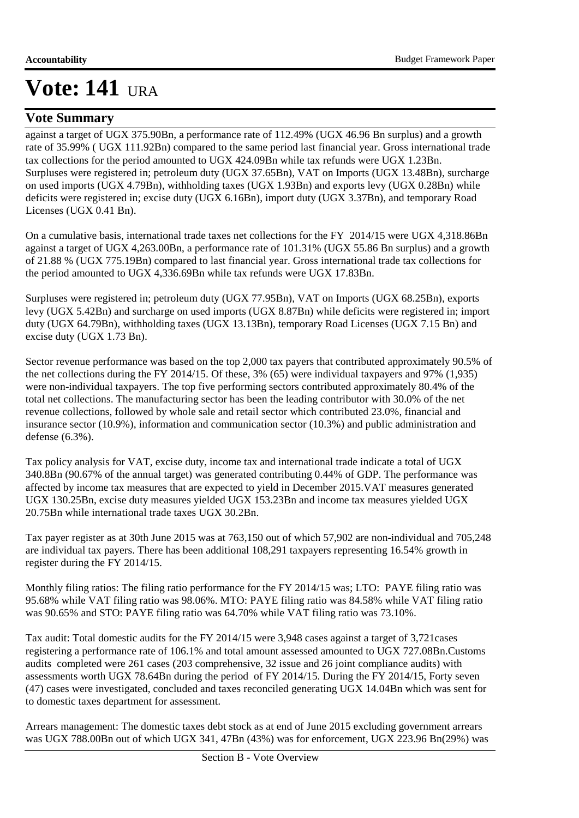### **Vote Summary**

against a target of UGX 375.90Bn, a performance rate of 112.49% (UGX 46.96 Bn surplus) and a growth rate of 35.99% ( UGX 111.92Bn) compared to the same period last financial year. Gross international trade tax collections for the period amounted to UGX 424.09Bn while tax refunds were UGX 1.23Bn. Surpluses were registered in; petroleum duty (UGX 37.65Bn), VAT on Imports (UGX 13.48Bn), surcharge on used imports (UGX 4.79Bn), withholding taxes (UGX 1.93Bn) and exports levy (UGX 0.28Bn) while deficits were registered in; excise duty (UGX 6.16Bn), import duty (UGX 3.37Bn), and temporary Road Licenses (UGX 0.41 Bn).

On a cumulative basis, international trade taxes net collections for the FY 2014/15 were UGX 4,318.86Bn against a target of UGX 4,263.00Bn, a performance rate of 101.31% (UGX 55.86 Bn surplus) and a growth of 21.88 % (UGX 775.19Bn) compared to last financial year. Gross international trade tax collections for the period amounted to UGX 4,336.69Bn while tax refunds were UGX 17.83Bn.

Surpluses were registered in; petroleum duty (UGX 77.95Bn), VAT on Imports (UGX 68.25Bn), exports levy (UGX 5.42Bn) and surcharge on used imports (UGX 8.87Bn) while deficits were registered in; import duty (UGX 64.79Bn), withholding taxes (UGX 13.13Bn), temporary Road Licenses (UGX 7.15 Bn) and excise duty (UGX 1.73 Bn).

Sector revenue performance was based on the top 2,000 tax payers that contributed approximately 90.5% of the net collections during the FY 2014/15. Of these, 3% (65) were individual taxpayers and 97% (1,935) were non-individual taxpayers. The top five performing sectors contributed approximately 80.4% of the total net collections. The manufacturing sector has been the leading contributor with 30.0% of the net revenue collections, followed by whole sale and retail sector which contributed 23.0%, financial and insurance sector (10.9%), information and communication sector (10.3%) and public administration and defense (6.3%).

Tax policy analysis for VAT, excise duty, income tax and international trade indicate a total of UGX 340.8Bn (90.67% of the annual target) was generated contributing 0.44% of GDP. The performance was affected by income tax measures that are expected to yield in December 2015.VAT measures generated UGX 130.25Bn, excise duty measures yielded UGX 153.23Bn and income tax measures yielded UGX 20.75Bn while international trade taxes UGX 30.2Bn.

Tax payer register as at 30th June 2015 was at 763,150 out of which 57,902 are non-individual and 705,248 are individual tax payers. There has been additional 108,291 taxpayers representing 16.54% growth in register during the FY 2014/15.

Monthly filing ratios: The filing ratio performance for the FY 2014/15 was; LTO: PAYE filing ratio was 95.68% while VAT filing ratio was 98.06%. MTO: PAYE filing ratio was 84.58% while VAT filing ratio was 90.65% and STO: PAYE filing ratio was 64.70% while VAT filing ratio was 73.10%.

Tax audit: Total domestic audits for the FY 2014/15 were 3,948 cases against a target of 3,721cases registering a performance rate of 106.1% and total amount assessed amounted to UGX 727.08Bn.Customs audits completed were 261 cases (203 comprehensive, 32 issue and 26 joint compliance audits) with assessments worth UGX 78.64Bn during the period of FY 2014/15. During the FY 2014/15, Forty seven (47) cases were investigated, concluded and taxes reconciled generating UGX 14.04Bn which was sent for to domestic taxes department for assessment.

Arrears management: The domestic taxes debt stock as at end of June 2015 excluding government arrears was UGX 788.00Bn out of which UGX 341, 47Bn (43%) was for enforcement, UGX 223.96 Bn(29%) was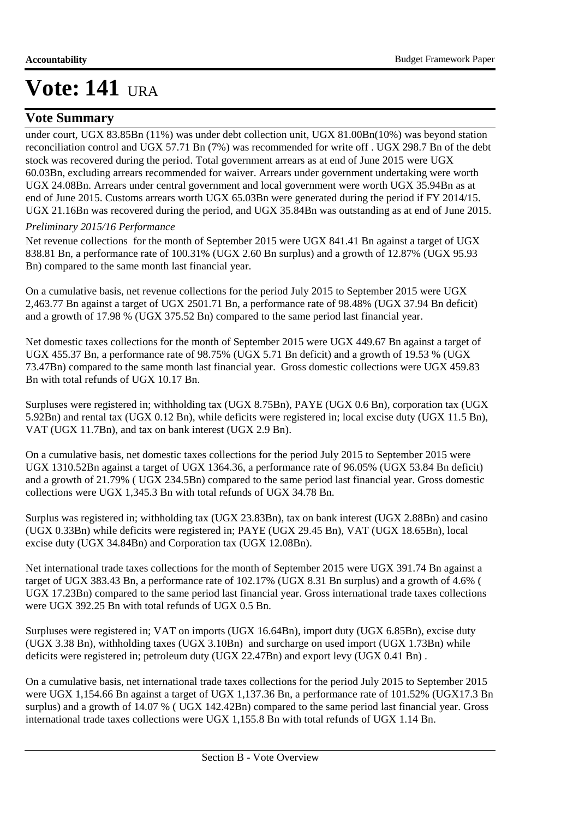### **Vote Summary**

under court, UGX 83.85Bn (11%) was under debt collection unit, UGX 81.00Bn(10%) was beyond station reconciliation control and UGX 57.71 Bn (7%) was recommended for write off . UGX 298.7 Bn of the debt stock was recovered during the period. Total government arrears as at end of June 2015 were UGX 60.03Bn, excluding arrears recommended for waiver. Arrears under government undertaking were worth UGX 24.08Bn. Arrears under central government and local government were worth UGX 35.94Bn as at end of June 2015. Customs arrears worth UGX 65.03Bn were generated during the period if FY 2014/15. UGX 21.16Bn was recovered during the period, and UGX 35.84Bn was outstanding as at end of June 2015.

#### *Preliminary 2015/16 Performance*

Net revenue collections for the month of September 2015 were UGX 841.41 Bn against a target of UGX 838.81 Bn, a performance rate of 100.31% (UGX 2.60 Bn surplus) and a growth of 12.87% (UGX 95.93 Bn) compared to the same month last financial year.

On a cumulative basis, net revenue collections for the period July 2015 to September 2015 were UGX 2,463.77 Bn against a target of UGX 2501.71 Bn, a performance rate of 98.48% (UGX 37.94 Bn deficit) and a growth of 17.98 % (UGX 375.52 Bn) compared to the same period last financial year.

Net domestic taxes collections for the month of September 2015 were UGX 449.67 Bn against a target of UGX 455.37 Bn, a performance rate of 98.75% (UGX 5.71 Bn deficit) and a growth of 19.53 % (UGX 73.47Bn) compared to the same month last financial year. Gross domestic collections were UGX 459.83 Bn with total refunds of UGX 10.17 Bn.

Surpluses were registered in; withholding tax (UGX 8.75Bn), PAYE (UGX 0.6 Bn), corporation tax (UGX 5.92Bn) and rental tax (UGX 0.12 Bn), while deficits were registered in; local excise duty (UGX 11.5 Bn), VAT (UGX 11.7Bn), and tax on bank interest (UGX 2.9 Bn).

On a cumulative basis, net domestic taxes collections for the period July 2015 to September 2015 were UGX 1310.52Bn against a target of UGX 1364.36, a performance rate of 96.05% (UGX 53.84 Bn deficit) and a growth of 21.79% ( UGX 234.5Bn) compared to the same period last financial year. Gross domestic collections were UGX 1,345.3 Bn with total refunds of UGX 34.78 Bn.

Surplus was registered in; withholding tax (UGX 23.83Bn), tax on bank interest (UGX 2.88Bn) and casino (UGX 0.33Bn) while deficits were registered in; PAYE (UGX 29.45 Bn), VAT (UGX 18.65Bn), local excise duty (UGX 34.84Bn) and Corporation tax (UGX 12.08Bn).

Net international trade taxes collections for the month of September 2015 were UGX 391.74 Bn against a target of UGX 383.43 Bn, a performance rate of 102.17% (UGX 8.31 Bn surplus) and a growth of 4.6% ( UGX 17.23Bn) compared to the same period last financial year. Gross international trade taxes collections were UGX 392.25 Bn with total refunds of UGX 0.5 Bn.

Surpluses were registered in; VAT on imports (UGX 16.64Bn), import duty (UGX 6.85Bn), excise duty (UGX 3.38 Bn), withholding taxes (UGX 3.10Bn) and surcharge on used import (UGX 1.73Bn) while deficits were registered in; petroleum duty (UGX 22.47Bn) and export levy (UGX 0.41 Bn) .

On a cumulative basis, net international trade taxes collections for the period July 2015 to September 2015 were UGX 1,154.66 Bn against a target of UGX 1,137.36 Bn, a performance rate of 101.52% (UGX17.3 Bn surplus) and a growth of 14.07 % ( UGX 142.42Bn) compared to the same period last financial year. Gross international trade taxes collections were UGX 1,155.8 Bn with total refunds of UGX 1.14 Bn.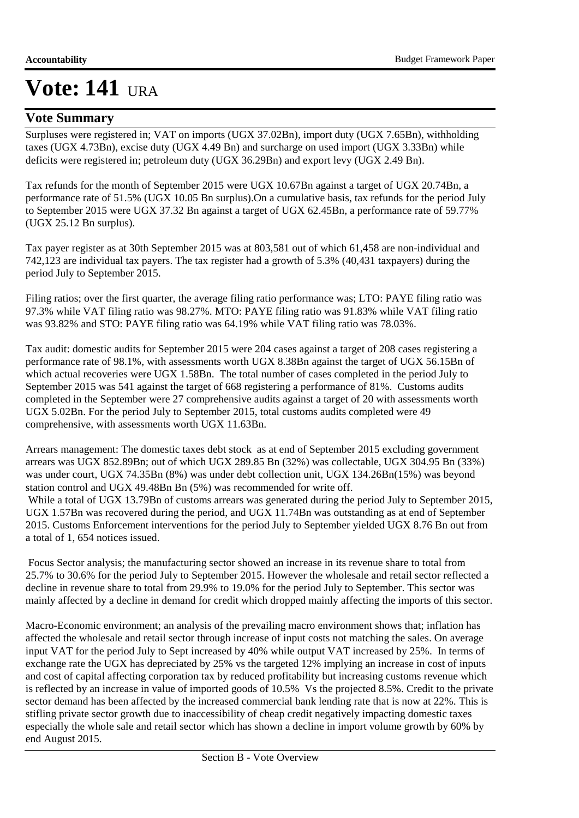### **Vote Summary**

Surpluses were registered in; VAT on imports (UGX 37.02Bn), import duty (UGX 7.65Bn), withholding taxes (UGX 4.73Bn), excise duty (UGX 4.49 Bn) and surcharge on used import (UGX 3.33Bn) while deficits were registered in; petroleum duty (UGX 36.29Bn) and export levy (UGX 2.49 Bn).

Tax refunds for the month of September 2015 were UGX 10.67Bn against a target of UGX 20.74Bn, a performance rate of 51.5% (UGX 10.05 Bn surplus).On a cumulative basis, tax refunds for the period July to September 2015 were UGX 37.32 Bn against a target of UGX 62.45Bn, a performance rate of 59.77% (UGX 25.12 Bn surplus).

Tax payer register as at 30th September 2015 was at 803,581 out of which 61,458 are non-individual and 742,123 are individual tax payers. The tax register had a growth of 5.3% (40,431 taxpayers) during the period July to September 2015.

Filing ratios; over the first quarter, the average filing ratio performance was; LTO: PAYE filing ratio was 97.3% while VAT filing ratio was 98.27%. MTO: PAYE filing ratio was 91.83% while VAT filing ratio was 93.82% and STO: PAYE filing ratio was 64.19% while VAT filing ratio was 78.03%.

Tax audit: domestic audits for September 2015 were 204 cases against a target of 208 cases registering a performance rate of 98.1%, with assessments worth UGX 8.38Bn against the target of UGX 56.15Bn of which actual recoveries were UGX 1.58Bn. The total number of cases completed in the period July to September 2015 was 541 against the target of 668 registering a performance of 81%. Customs audits completed in the September were 27 comprehensive audits against a target of 20 with assessments worth UGX 5.02Bn. For the period July to September 2015, total customs audits completed were 49 comprehensive, with assessments worth UGX 11.63Bn.

Arrears management: The domestic taxes debt stock as at end of September 2015 excluding government arrears was UGX 852.89Bn; out of which UGX 289.85 Bn (32%) was collectable, UGX 304.95 Bn (33%) was under court, UGX 74.35Bn (8%) was under debt collection unit, UGX 134.26Bn(15%) was beyond station control and UGX 49.48Bn Bn (5%) was recommended for write off.

 While a total of UGX 13.79Bn of customs arrears was generated during the period July to September 2015, UGX 1.57Bn was recovered during the period, and UGX 11.74Bn was outstanding as at end of September 2015. Customs Enforcement interventions for the period July to September yielded UGX 8.76 Bn out from a total of 1, 654 notices issued.

 Focus Sector analysis; the manufacturing sector showed an increase in its revenue share to total from 25.7% to 30.6% for the period July to September 2015. However the wholesale and retail sector reflected a decline in revenue share to total from 29.9% to 19.0% for the period July to September. This sector was mainly affected by a decline in demand for credit which dropped mainly affecting the imports of this sector.

Macro-Economic environment; an analysis of the prevailing macro environment shows that; inflation has affected the wholesale and retail sector through increase of input costs not matching the sales. On average input VAT for the period July to Sept increased by 40% while output VAT increased by 25%. In terms of exchange rate the UGX has depreciated by 25% vs the targeted 12% implying an increase in cost of inputs and cost of capital affecting corporation tax by reduced profitability but increasing customs revenue which is reflected by an increase in value of imported goods of 10.5% Vs the projected 8.5%. Credit to the private sector demand has been affected by the increased commercial bank lending rate that is now at 22%. This is stifling private sector growth due to inaccessibility of cheap credit negatively impacting domestic taxes especially the whole sale and retail sector which has shown a decline in import volume growth by 60% by end August 2015.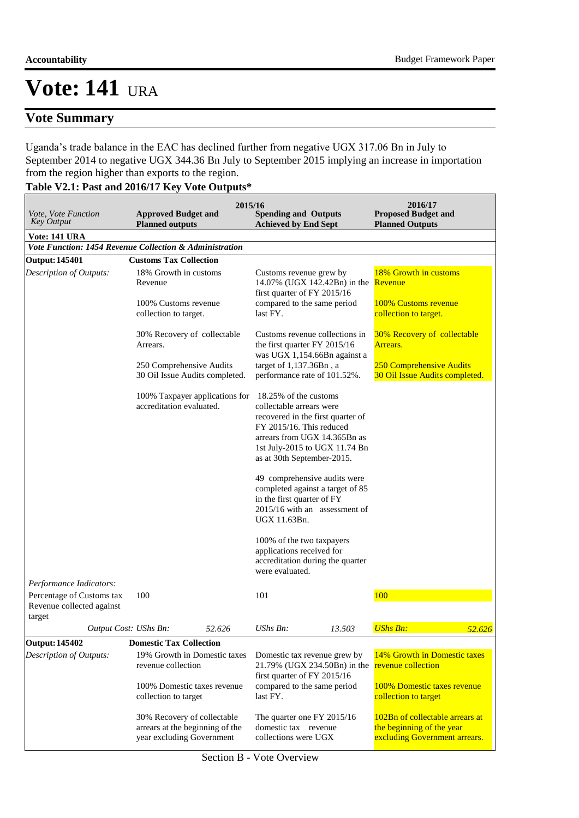### **Vote Summary**

Uganda's trade balance in the EAC has declined further from negative UGX 317.06 Bn in July to September 2014 to negative UGX 344.36 Bn July to September 2015 implying an increase in importation from the region higher than exports to the region.

### **Table V2.1: Past and 2016/17 Key Vote Outputs\***

|                                                                                             |                                                          | 2015/16                         |                                                                                                                                                                                                                   |        | 2016/17                                                                                       |  |
|---------------------------------------------------------------------------------------------|----------------------------------------------------------|---------------------------------|-------------------------------------------------------------------------------------------------------------------------------------------------------------------------------------------------------------------|--------|-----------------------------------------------------------------------------------------------|--|
| <i>Vote, Vote Function</i><br><b>Key Output</b>                                             | <b>Approved Budget and</b><br><b>Planned outputs</b>     |                                 | <b>Spending and Outputs</b><br><b>Achieved by End Sept</b>                                                                                                                                                        |        | <b>Proposed Budget and</b><br><b>Planned Outputs</b>                                          |  |
| Vote: 141 URA                                                                               |                                                          |                                 |                                                                                                                                                                                                                   |        |                                                                                               |  |
| Vote Function: 1454 Revenue Collection & Administration                                     |                                                          |                                 |                                                                                                                                                                                                                   |        |                                                                                               |  |
| <b>Output: 145401</b>                                                                       | <b>Customs Tax Collection</b>                            |                                 |                                                                                                                                                                                                                   |        |                                                                                               |  |
| Description of Outputs:                                                                     | 18% Growth in customs<br>Revenue                         |                                 | Customs revenue grew by<br>14.07% (UGX 142.42Bn) in the<br>first quarter of FY 2015/16                                                                                                                            |        | 18% Growth in customs<br>Revenue                                                              |  |
|                                                                                             | 100% Customs revenue<br>collection to target.            |                                 | compared to the same period<br>last FY.                                                                                                                                                                           |        | 100% Customs revenue<br>collection to target.                                                 |  |
|                                                                                             | Arrears.                                                 | 30% Recovery of collectable     | Customs revenue collections in<br>the first quarter FY 2015/16<br>was UGX 1,154.66Bn against a                                                                                                                    |        | 30% Recovery of collectable<br>Arrears.                                                       |  |
|                                                                                             | 250 Comprehensive Audits                                 | 30 Oil Issue Audits completed.  | target of 1,137.36Bn, a<br>performance rate of 101.52%.                                                                                                                                                           |        | 250 Comprehensive Audits<br>30 Oil Issue Audits completed.                                    |  |
|                                                                                             | accreditation evaluated.                                 | 100% Taxpayer applications for  | 18.25% of the customs<br>collectable arrears were<br>recovered in the first quarter of<br>FY 2015/16. This reduced<br>arrears from UGX 14.365Bn as<br>1st July-2015 to UGX 11.74 Bn<br>as at 30th September-2015. |        |                                                                                               |  |
|                                                                                             |                                                          |                                 | 49 comprehensive audits were<br>completed against a target of 85<br>in the first quarter of FY<br>2015/16 with an assessment of<br>UGX 11.63Bn.                                                                   |        |                                                                                               |  |
|                                                                                             |                                                          |                                 | 100% of the two taxpayers<br>applications received for<br>accreditation during the quarter<br>were evaluated.                                                                                                     |        |                                                                                               |  |
| Performance Indicators:<br>Percentage of Customs tax<br>Revenue collected against<br>target | 100                                                      |                                 | 101                                                                                                                                                                                                               |        | 100                                                                                           |  |
| Output Cost: UShs Bn:                                                                       |                                                          | 52.626                          | UShs $Bn$ :                                                                                                                                                                                                       | 13.503 | <b>UShs Bn:</b><br>52.626                                                                     |  |
| <b>Output: 145402</b>                                                                       | <b>Domestic Tax Collection</b>                           |                                 |                                                                                                                                                                                                                   |        |                                                                                               |  |
| Description of Outputs:                                                                     | revenue collection                                       | 19% Growth in Domestic taxes    | Domestic tax revenue grew by<br>21.79% (UGX 234.50Bn) in the<br>first quarter of FY 2015/16                                                                                                                       |        | 14% Growth in Domestic taxes<br>revenue collection                                            |  |
|                                                                                             | collection to target                                     | 100% Domestic taxes revenue     | compared to the same period<br>last FY.                                                                                                                                                                           |        | 100% Domestic taxes revenue<br>collection to target                                           |  |
|                                                                                             | 30% Recovery of collectable<br>year excluding Government | arrears at the beginning of the | The quarter one FY 2015/16<br>domestic tax revenue<br>collections were UGX                                                                                                                                        |        | 102Bn of collectable arrears at<br>the beginning of the year<br>excluding Government arrears. |  |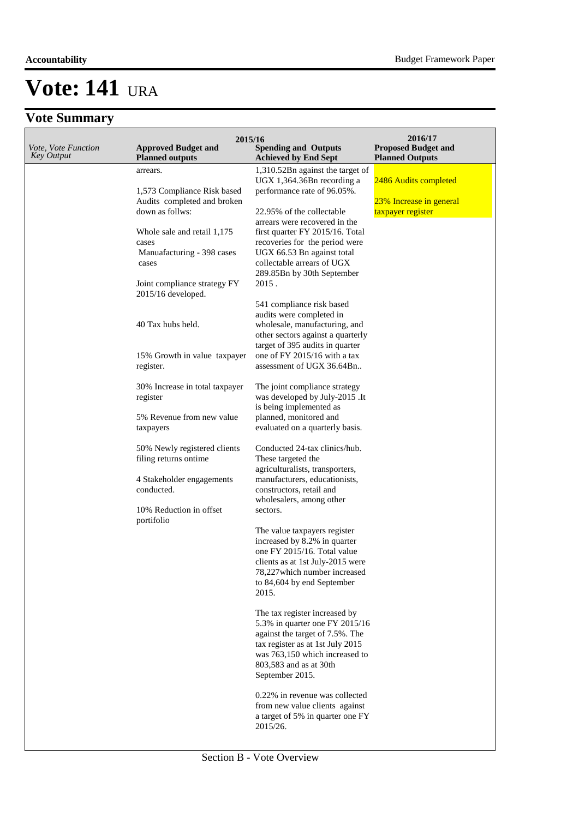## **Vote Summary**

| Vote, Vote Function<br><b>Key Output</b> | 2015/16<br><b>Approved Budget and</b><br><b>Planned outputs</b> | <b>Spending and Outputs</b><br><b>Achieved by End Sept</b>         | 2016/17<br><b>Proposed Budget and</b><br><b>Planned Outputs</b> |
|------------------------------------------|-----------------------------------------------------------------|--------------------------------------------------------------------|-----------------------------------------------------------------|
|                                          | arrears.                                                        | 1,310.52Bn against the target of                                   |                                                                 |
|                                          |                                                                 | UGX 1,364.36Bn recording a                                         | 2486 Audits completed                                           |
|                                          | 1,573 Compliance Risk based                                     | performance rate of 96.05%.                                        |                                                                 |
|                                          | Audits completed and broken<br>down as follws:                  |                                                                    | 23% Increase in general                                         |
|                                          |                                                                 | 22.95% of the collectable<br>arrears were recovered in the         | taxpayer register                                               |
|                                          | Whole sale and retail 1,175                                     | first quarter FY 2015/16. Total                                    |                                                                 |
|                                          | cases                                                           | recoveries for the period were                                     |                                                                 |
|                                          | Manuafacturing - 398 cases                                      | UGX 66.53 Bn against total                                         |                                                                 |
|                                          | cases                                                           | collectable arrears of UGX<br>289.85Bn by 30th September           |                                                                 |
|                                          | Joint compliance strategy FY                                    | 2015.                                                              |                                                                 |
|                                          | 2015/16 developed.                                              |                                                                    |                                                                 |
|                                          |                                                                 | 541 compliance risk based                                          |                                                                 |
|                                          |                                                                 | audits were completed in                                           |                                                                 |
|                                          | 40 Tax hubs held.                                               | wholesale, manufacturing, and<br>other sectors against a quarterly |                                                                 |
|                                          |                                                                 | target of 395 audits in quarter                                    |                                                                 |
|                                          | 15% Growth in value taxpayer                                    | one of FY 2015/16 with a tax                                       |                                                                 |
|                                          | register.                                                       | assessment of UGX 36.64Bn                                          |                                                                 |
|                                          | 30% Increase in total taxpayer                                  | The joint compliance strategy                                      |                                                                 |
|                                          | register                                                        | was developed by July-2015 .It                                     |                                                                 |
|                                          |                                                                 | is being implemented as                                            |                                                                 |
|                                          | 5% Revenue from new value                                       | planned, monitored and                                             |                                                                 |
|                                          | taxpayers                                                       | evaluated on a quarterly basis.                                    |                                                                 |
|                                          | 50% Newly registered clients                                    | Conducted 24-tax clinics/hub.                                      |                                                                 |
|                                          | filing returns ontime                                           | These targeted the                                                 |                                                                 |
|                                          | 4 Stakeholder engagements                                       | agriculturalists, transporters,<br>manufacturers, educationists,   |                                                                 |
|                                          | conducted.                                                      | constructors, retail and                                           |                                                                 |
|                                          |                                                                 | wholesalers, among other                                           |                                                                 |
|                                          | 10% Reduction in offset                                         | sectors.                                                           |                                                                 |
|                                          | portifolio                                                      | The value taxpayers register                                       |                                                                 |
|                                          |                                                                 | increased by 8.2% in quarter                                       |                                                                 |
|                                          |                                                                 | one FY 2015/16. Total value                                        |                                                                 |
|                                          |                                                                 | clients as at 1st July-2015 were                                   |                                                                 |
|                                          |                                                                 | 78,227 which number increased                                      |                                                                 |
|                                          |                                                                 | to 84,604 by end September<br>2015.                                |                                                                 |
|                                          |                                                                 |                                                                    |                                                                 |
|                                          |                                                                 | The tax register increased by<br>5.3% in quarter one FY 2015/16    |                                                                 |
|                                          |                                                                 | against the target of 7.5%. The                                    |                                                                 |
|                                          |                                                                 | tax register as at 1st July 2015                                   |                                                                 |
|                                          |                                                                 | was 763,150 which increased to                                     |                                                                 |
|                                          |                                                                 | 803,583 and as at 30th                                             |                                                                 |
|                                          |                                                                 | September 2015.                                                    |                                                                 |
|                                          |                                                                 | 0.22% in revenue was collected                                     |                                                                 |
|                                          |                                                                 | from new value clients against                                     |                                                                 |
|                                          |                                                                 | a target of 5% in quarter one FY<br>2015/26.                       |                                                                 |
|                                          |                                                                 |                                                                    |                                                                 |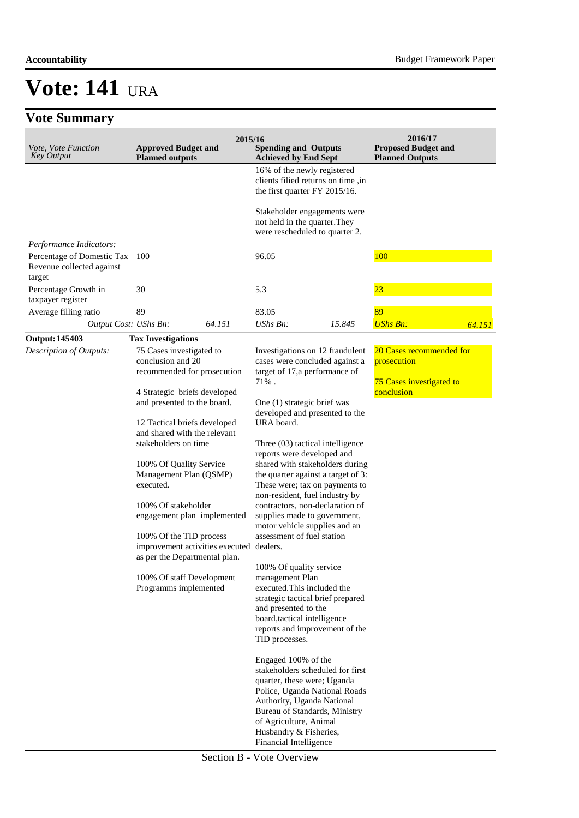#### **Accountability** Budget Framework Paper

# **Vote: 141** URA

## **Vote Summary**

| <i>Vote, Vote Function</i><br><b>Key Output</b>                                        | <b>Approved Budget and</b><br><b>Planned outputs</b>                                                      | 2015/16 | <b>Spending and Outputs</b><br><b>Achieved by End Sept</b>                                                                                                                                                                                                           |        | 2016/17<br><b>Proposed Budget and</b><br><b>Planned Outputs</b> |        |
|----------------------------------------------------------------------------------------|-----------------------------------------------------------------------------------------------------------|---------|----------------------------------------------------------------------------------------------------------------------------------------------------------------------------------------------------------------------------------------------------------------------|--------|-----------------------------------------------------------------|--------|
|                                                                                        |                                                                                                           |         | 16% of the newly registered<br>clients filied returns on time, in<br>the first quarter FY 2015/16.                                                                                                                                                                   |        |                                                                 |        |
|                                                                                        |                                                                                                           |         | Stakeholder engagements were<br>not held in the quarter. They<br>were rescheduled to quarter 2.                                                                                                                                                                      |        |                                                                 |        |
| Performance Indicators:<br>Percentage of Domestic Tax 100<br>Revenue collected against |                                                                                                           |         | 96.05                                                                                                                                                                                                                                                                |        | 100                                                             |        |
| target<br>Percentage Growth in<br>taxpayer register                                    | 30                                                                                                        |         | 5.3                                                                                                                                                                                                                                                                  |        | 23                                                              |        |
| Average filling ratio                                                                  | 89                                                                                                        |         | 83.05                                                                                                                                                                                                                                                                |        | 89                                                              |        |
| Output Cost: UShs Bn:                                                                  |                                                                                                           | 64.151  | UShs Bn:                                                                                                                                                                                                                                                             | 15.845 | <b>UShs Bn:</b>                                                 | 64.151 |
| <b>Output: 145403</b>                                                                  | <b>Tax Investigations</b>                                                                                 |         |                                                                                                                                                                                                                                                                      |        |                                                                 |        |
| Description of Outputs:                                                                | 75 Cases investigated to<br>conclusion and 20<br>recommended for prosecution                              |         | Investigations on 12 fraudulent<br>cases were concluded against a<br>target of 17,a performance of                                                                                                                                                                   |        | 20 Cases recommended for<br>prosecution                         |        |
|                                                                                        | 4 Strategic briefs developed<br>and presented to the board.<br>12 Tactical briefs developed               |         | 71%.<br>One (1) strategic brief was<br>developed and presented to the<br>URA board.                                                                                                                                                                                  |        | <b>75 Cases investigated to</b><br>conclusion                   |        |
|                                                                                        | and shared with the relevant<br>stakeholders on time<br>100% Of Quality Service<br>Management Plan (QSMP) |         | Three (03) tactical intelligence<br>reports were developed and<br>shared with stakeholders during<br>the quarter against a target of 3:                                                                                                                              |        |                                                                 |        |
|                                                                                        | executed.<br>100% Of stakeholder<br>engagement plan implemented                                           |         | These were; tax on payments to<br>non-resident, fuel industry by<br>contractors, non-declaration of<br>supplies made to government,<br>motor vehicle supplies and an                                                                                                 |        |                                                                 |        |
|                                                                                        | 100% Of the TID process<br>improvement activities executed<br>as per the Departmental plan.               |         | assessment of fuel station<br>dealers.                                                                                                                                                                                                                               |        |                                                                 |        |
|                                                                                        | 100% Of staff Development<br>Programms implemented                                                        |         | 100% Of quality service<br>management Plan<br>executed. This included the<br>strategic tactical brief prepared<br>and presented to the<br>board, tactical intelligence<br>reports and improvement of the<br>TID processes.                                           |        |                                                                 |        |
|                                                                                        |                                                                                                           |         | Engaged 100% of the<br>stakeholders scheduled for first<br>quarter, these were; Uganda<br>Police, Uganda National Roads<br>Authority, Uganda National<br>Bureau of Standards, Ministry<br>of Agriculture, Animal<br>Husbandry & Fisheries,<br>Financial Intelligence |        |                                                                 |        |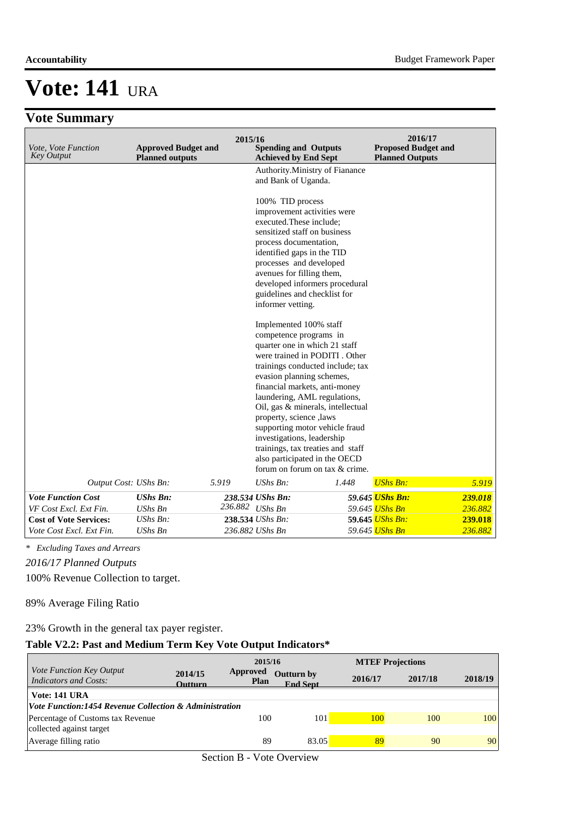## **Vote Summary**

| Vote, Vote Function<br><b>Key Output</b> | <b>Approved Budget and</b><br><b>Planned outputs</b> | 2015/16<br><b>Spending and Outputs</b><br><b>Achieved by End Sept</b>                                                                                                                                                                                                                                                                                                                                                                                                                                                 | 2016/17<br><b>Proposed Budget and</b><br><b>Planned Outputs</b> |
|------------------------------------------|------------------------------------------------------|-----------------------------------------------------------------------------------------------------------------------------------------------------------------------------------------------------------------------------------------------------------------------------------------------------------------------------------------------------------------------------------------------------------------------------------------------------------------------------------------------------------------------|-----------------------------------------------------------------|
|                                          |                                                      | Authority.Ministry of Fianance<br>and Bank of Uganda.                                                                                                                                                                                                                                                                                                                                                                                                                                                                 |                                                                 |
|                                          |                                                      | 100% TID process<br>improvement activities were<br>executed. These include;<br>sensitized staff on business<br>process documentation.<br>identified gaps in the TID<br>processes and developed<br>avenues for filling them,<br>developed informers procedural<br>guidelines and checklist for<br>informer vetting.                                                                                                                                                                                                    |                                                                 |
| Output Cost: UShs Bn:                    | 5.919                                                | Implemented 100% staff<br>competence programs in<br>quarter one in which 21 staff<br>were trained in PODITI . Other<br>trainings conducted include; tax<br>evasion planning schemes,<br>financial markets, anti-money<br>laundering, AML regulations,<br>Oil, gas & minerals, intellectual<br>property, science ,laws<br>supporting motor vehicle fraud<br>investigations, leadership<br>trainings, tax treaties and staff<br>also participated in the OECD<br>forum on forum on tax & crime.<br>$UShs Bn$ :<br>1.448 | <b>UShs Bn:</b><br>5.919                                        |
| <b>Vote Function Cost</b>                | <b>UShs Bn:</b>                                      | 238.534 UShs Bn:                                                                                                                                                                                                                                                                                                                                                                                                                                                                                                      | 59.645 UShs Bn:<br>239.018                                      |
| VF Cost Excl. Ext Fin.                   | <b>UShs Bn</b>                                       | 236.882 UShs Bn                                                                                                                                                                                                                                                                                                                                                                                                                                                                                                       | 59.645 UShs Bn<br>236.882                                       |
| <b>Cost of Vote Services:</b>            | UShs Bn:                                             | 238.534 UShs Bn:                                                                                                                                                                                                                                                                                                                                                                                                                                                                                                      | 59.645 UShs Bn:<br>239.018                                      |
| Vote Cost Excl. Ext Fin.                 | <b>UShs Bn</b>                                       | 236.882 UShs Bn                                                                                                                                                                                                                                                                                                                                                                                                                                                                                                       | 59.645 UShs Bn<br>236.882                                       |

*\* Excluding Taxes and Arrears*

*2016/17 Planned Outputs*

100% Revenue Collection to target.

89% Average Filing Ratio

23% Growth in the general tax payer register.

### **Table V2.2: Past and Medium Term Key Vote Output Indicators\***

|                                                                                    |                           | 2015/16                        |                                      |         | <b>MTEF Projections</b> |         |
|------------------------------------------------------------------------------------|---------------------------|--------------------------------|--------------------------------------|---------|-------------------------|---------|
| <i>Vote Function Key Output</i><br><b>Indicators and Costs:</b>                    | 2014/15<br><b>Outturn</b> | <b>Approved</b><br><b>Plan</b> | <b>Outturn by</b><br><b>End Sept</b> | 2016/17 | 2017/18                 | 2018/19 |
| Vote: 141 URA<br><i>Vote Function:1454 Revenue Collection &amp; Administration</i> |                           |                                |                                      |         |                         |         |
| Percentage of Customs tax Revenue<br>collected against target                      |                           | 100                            | 101                                  | 100     | 100                     | 100     |
| Average filling ratio                                                              |                           | 89                             | 83.05                                | 89      | 90                      | 90      |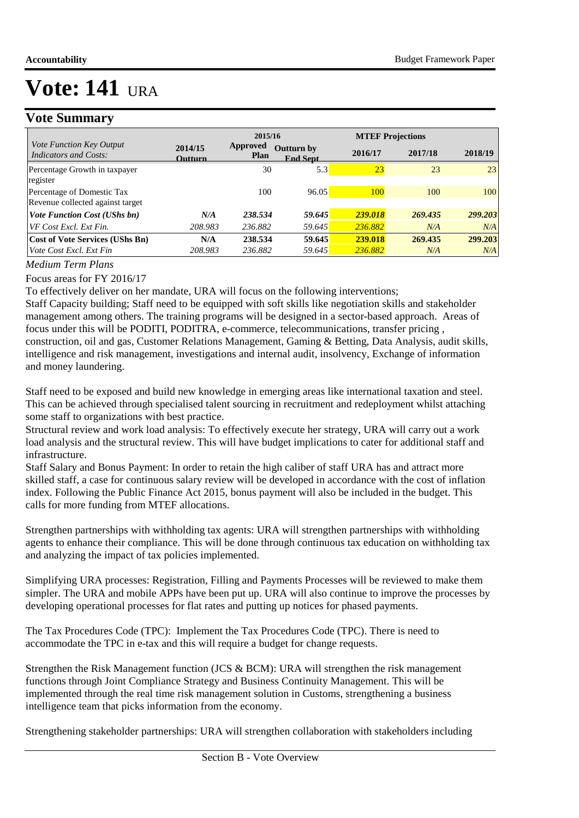### **Vote Summary**

|                                                                   |                           | 2015/16                 |                                      | <b>MTEF Projections</b> |                |                |
|-------------------------------------------------------------------|---------------------------|-------------------------|--------------------------------------|-------------------------|----------------|----------------|
| <i>Vote Function Key Output</i><br>Indicators and Costs:          | 2014/15<br><b>Outturn</b> | Approved<br><b>Plan</b> | <b>Outturn by</b><br><b>End Sept</b> | 2016/17                 | 2017/18        | 2018/19        |
| Percentage Growth in taxpayer<br>register                         |                           | 30                      | 5.3                                  | 23                      | 23             | 23             |
| Percentage of Domestic Tax<br>Revenue collected against target    |                           | 100                     | 96.05                                | 100                     | 100            | 100            |
| <b>Vote Function Cost (UShs bn)</b>                               | N/A                       | 238.534                 | 59.645                               | 239.018                 | 269.435        | 299.203        |
| VF Cost Excl. Ext Fin.                                            | 208.983                   | 236.882                 | 59.645                               | 236.882                 | N/A            | N/A            |
| <b>Cost of Vote Services (UShs Bn)</b><br>Vote Cost Excl. Ext Fin | N/A<br>208.983            | 238.534<br>236.882      | 59.645<br>59.645                     | 239.018<br>236.882      | 269.435<br>N/A | 299.203<br>N/A |

*Medium Term Plans*

Focus areas for FY 2016/17

To effectively deliver on her mandate, URA will focus on the following interventions;

Staff Capacity building; Staff need to be equipped with soft skills like negotiation skills and stakeholder management among others. The training programs will be designed in a sector-based approach. Areas of focus under this will be PODITI, PODITRA, e-commerce, telecommunications, transfer pricing , construction, oil and gas, Customer Relations Management, Gaming & Betting, Data Analysis, audit skills, intelligence and risk management, investigations and internal audit, insolvency, Exchange of information and money laundering.

Staff need to be exposed and build new knowledge in emerging areas like international taxation and steel. This can be achieved through specialised talent sourcing in recruitment and redeployment whilst attaching some staff to organizations with best practice.

Structural review and work load analysis: To effectively execute her strategy, URA will carry out a work load analysis and the structural review. This will have budget implications to cater for additional staff and infrastructure.

Staff Salary and Bonus Payment: In order to retain the high caliber of staff URA has and attract more skilled staff, a case for continuous salary review will be developed in accordance with the cost of inflation index. Following the Public Finance Act 2015, bonus payment will also be included in the budget. This calls for more funding from MTEF allocations.

Strengthen partnerships with withholding tax agents: URA will strengthen partnerships with withholding agents to enhance their compliance. This will be done through continuous tax education on withholding tax and analyzing the impact of tax policies implemented.

Simplifying URA processes: Registration, Filling and Payments Processes will be reviewed to make them simpler. The URA and mobile APPs have been put up. URA will also continue to improve the processes by developing operational processes for flat rates and putting up notices for phased payments.

The Tax Procedures Code (TPC): Implement the Tax Procedures Code (TPC). There is need to accommodate the TPC in e-tax and this will require a budget for change requests.

Strengthen the Risk Management function (JCS & BCM): URA will strengthen the risk management functions through Joint Compliance Strategy and Business Continuity Management. This will be implemented through the real time risk management solution in Customs, strengthening a business intelligence team that picks information from the economy.

Strengthening stakeholder partnerships: URA will strengthen collaboration with stakeholders including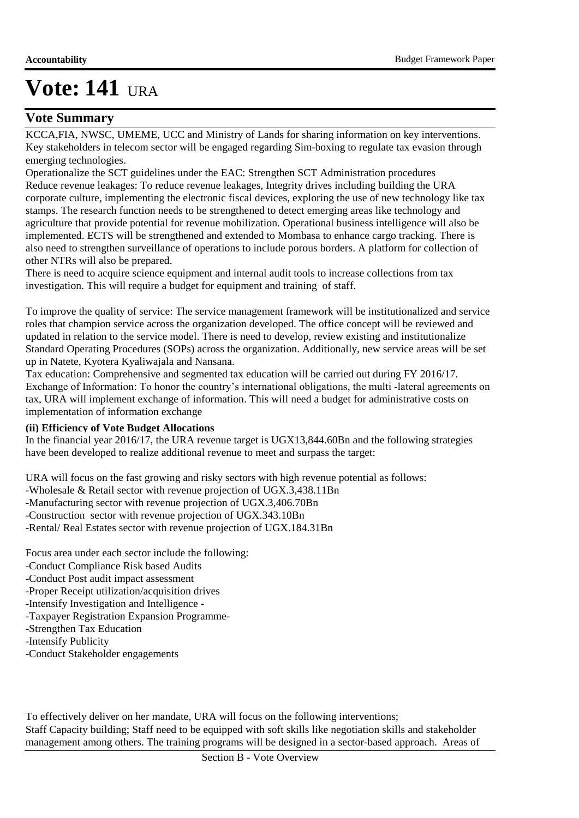### **Vote Summary**

KCCA,FIA, NWSC, UMEME, UCC and Ministry of Lands for sharing information on key interventions. Key stakeholders in telecom sector will be engaged regarding Sim-boxing to regulate tax evasion through emerging technologies.

Operationalize the SCT guidelines under the EAC: Strengthen SCT Administration procedures Reduce revenue leakages: To reduce revenue leakages, Integrity drives including building the URA corporate culture, implementing the electronic fiscal devices, exploring the use of new technology like tax stamps. The research function needs to be strengthened to detect emerging areas like technology and agriculture that provide potential for revenue mobilization. Operational business intelligence will also be implemented. ECTS will be strengthened and extended to Mombasa to enhance cargo tracking. There is also need to strengthen surveillance of operations to include porous borders. A platform for collection of other NTRs will also be prepared.

There is need to acquire science equipment and internal audit tools to increase collections from tax investigation. This will require a budget for equipment and training of staff.

To improve the quality of service: The service management framework will be institutionalized and service roles that champion service across the organization developed. The office concept will be reviewed and updated in relation to the service model. There is need to develop, review existing and institutionalize Standard Operating Procedures (SOPs) across the organization. Additionally, new service areas will be set up in Natete, Kyotera Kyaliwajala and Nansana.

Tax education: Comprehensive and segmented tax education will be carried out during FY 2016/17. Exchange of Information: To honor the country's international obligations, the multi -lateral agreements on tax, URA will implement exchange of information. This will need a budget for administrative costs on implementation of information exchange

#### **(ii) Efficiency of Vote Budget Allocations**

In the financial year 2016/17, the URA revenue target is UGX13,844.60Bn and the following strategies have been developed to realize additional revenue to meet and surpass the target:

URA will focus on the fast growing and risky sectors with high revenue potential as follows:

-Wholesale & Retail sector with revenue projection of UGX.3,438.11Bn

-Manufacturing sector with revenue projection of UGX.3,406.70Bn

-Construction sector with revenue projection of UGX.343.10Bn

-Rental/ Real Estates sector with revenue projection of UGX.184.31Bn

Focus area under each sector include the following:

- -Conduct Compliance Risk based Audits
- -Conduct Post audit impact assessment
- -Proper Receipt utilization/acquisition drives
- -Intensify Investigation and Intelligence -
- -Taxpayer Registration Expansion Programme-
- -Strengthen Tax Education
- -Intensify Publicity
- -Conduct Stakeholder engagements

To effectively deliver on her mandate, URA will focus on the following interventions; Staff Capacity building; Staff need to be equipped with soft skills like negotiation skills and stakeholder management among others. The training programs will be designed in a sector-based approach. Areas of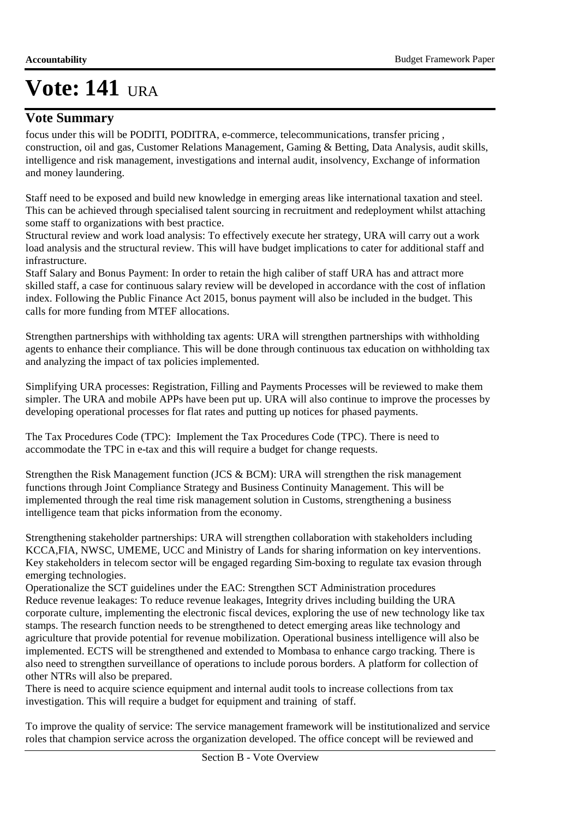### **Vote Summary**

focus under this will be PODITI, PODITRA, e-commerce, telecommunications, transfer pricing , construction, oil and gas, Customer Relations Management, Gaming & Betting, Data Analysis, audit skills, intelligence and risk management, investigations and internal audit, insolvency, Exchange of information and money laundering.

Staff need to be exposed and build new knowledge in emerging areas like international taxation and steel. This can be achieved through specialised talent sourcing in recruitment and redeployment whilst attaching some staff to organizations with best practice.

Structural review and work load analysis: To effectively execute her strategy, URA will carry out a work load analysis and the structural review. This will have budget implications to cater for additional staff and infrastructure.

Staff Salary and Bonus Payment: In order to retain the high caliber of staff URA has and attract more skilled staff, a case for continuous salary review will be developed in accordance with the cost of inflation index. Following the Public Finance Act 2015, bonus payment will also be included in the budget. This calls for more funding from MTEF allocations.

Strengthen partnerships with withholding tax agents: URA will strengthen partnerships with withholding agents to enhance their compliance. This will be done through continuous tax education on withholding tax and analyzing the impact of tax policies implemented.

Simplifying URA processes: Registration, Filling and Payments Processes will be reviewed to make them simpler. The URA and mobile APPs have been put up. URA will also continue to improve the processes by developing operational processes for flat rates and putting up notices for phased payments.

The Tax Procedures Code (TPC): Implement the Tax Procedures Code (TPC). There is need to accommodate the TPC in e-tax and this will require a budget for change requests.

Strengthen the Risk Management function (JCS & BCM): URA will strengthen the risk management functions through Joint Compliance Strategy and Business Continuity Management. This will be implemented through the real time risk management solution in Customs, strengthening a business intelligence team that picks information from the economy.

Strengthening stakeholder partnerships: URA will strengthen collaboration with stakeholders including KCCA,FIA, NWSC, UMEME, UCC and Ministry of Lands for sharing information on key interventions. Key stakeholders in telecom sector will be engaged regarding Sim-boxing to regulate tax evasion through emerging technologies.

Operationalize the SCT guidelines under the EAC: Strengthen SCT Administration procedures Reduce revenue leakages: To reduce revenue leakages, Integrity drives including building the URA corporate culture, implementing the electronic fiscal devices, exploring the use of new technology like tax stamps. The research function needs to be strengthened to detect emerging areas like technology and agriculture that provide potential for revenue mobilization. Operational business intelligence will also be implemented. ECTS will be strengthened and extended to Mombasa to enhance cargo tracking. There is also need to strengthen surveillance of operations to include porous borders. A platform for collection of other NTRs will also be prepared.

There is need to acquire science equipment and internal audit tools to increase collections from tax investigation. This will require a budget for equipment and training of staff.

To improve the quality of service: The service management framework will be institutionalized and service roles that champion service across the organization developed. The office concept will be reviewed and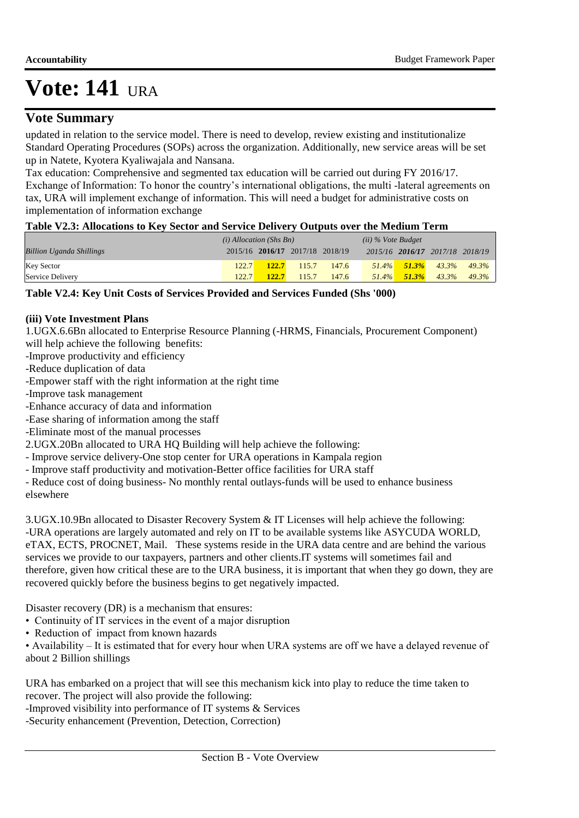### **Vote Summary**

updated in relation to the service model. There is need to develop, review existing and institutionalize Standard Operating Procedures (SOPs) across the organization. Additionally, new service areas will be set up in Natete, Kyotera Kyaliwajala and Nansana.

Tax education: Comprehensive and segmented tax education will be carried out during FY 2016/17. Exchange of Information: To honor the country's international obligations, the multi -lateral agreements on tax, URA will implement exchange of information. This will need a budget for administrative costs on implementation of information exchange

#### **Table V2.3: Allocations to Key Sector and Service Delivery Outputs over the Medium Term**

|                                 | $(i)$ Allocation (Shs Bn) |                                 |       |       | $(ii)$ % Vote Budget |          |                                 |       |
|---------------------------------|---------------------------|---------------------------------|-------|-------|----------------------|----------|---------------------------------|-------|
| <b>Billion Uganda Shillings</b> |                           | 2015/16 2016/17 2017/18 2018/19 |       |       |                      |          | 2015/16 2016/17 2017/18 2018/19 |       |
| <b>Key Sector</b>               | 122.7                     | 122.7                           | 115.7 | 147.6 | $51.4\%$             | $51.3\%$ | 43.3%                           | 49.3% |
| Service Delivery                | 122.7                     | 122.7                           | 115.7 | 147.6 | $51.4\%$             | $51.3\%$ | 43.3%                           | 49.3% |

#### **Table V2.4: Key Unit Costs of Services Provided and Services Funded (Shs '000)**

#### **(iii) Vote Investment Plans**

1.UGX.6.6Bn allocated to Enterprise Resource Planning (-HRMS, Financials, Procurement Component) will help achieve the following benefits:

-Improve productivity and efficiency

- -Reduce duplication of data
- -Empower staff with the right information at the right time
- -Improve task management

-Enhance accuracy of data and information

-Ease sharing of information among the staff

-Eliminate most of the manual processes

2.UGX.20Bn allocated to URA HQ Building will help achieve the following:

- Improve service delivery-One stop center for URA operations in Kampala region

- Improve staff productivity and motivation-Better office facilities for URA staff

- Reduce cost of doing business- No monthly rental outlays-funds will be used to enhance business elsewhere

3.UGX.10.9Bn allocated to Disaster Recovery System & IT Licenses will help achieve the following: -URA operations are largely automated and rely on IT to be available systems like ASYCUDA WORLD, eTAX, ECTS, PROCNET, Mail. These systems reside in the URA data centre and are behind the various services we provide to our taxpayers, partners and other clients.IT systems will sometimes fail and therefore, given how critical these are to the URA business, it is important that when they go down, they are recovered quickly before the business begins to get negatively impacted.

Disaster recovery (DR) is a mechanism that ensures:

- Continuity of IT services in the event of a major disruption
- Reduction of impact from known hazards

• Availability – It is estimated that for every hour when URA systems are off we have a delayed revenue of about 2 Billion shillings

URA has embarked on a project that will see this mechanism kick into play to reduce the time taken to recover. The project will also provide the following:

-Improved visibility into performance of IT systems & Services

-Security enhancement (Prevention, Detection, Correction)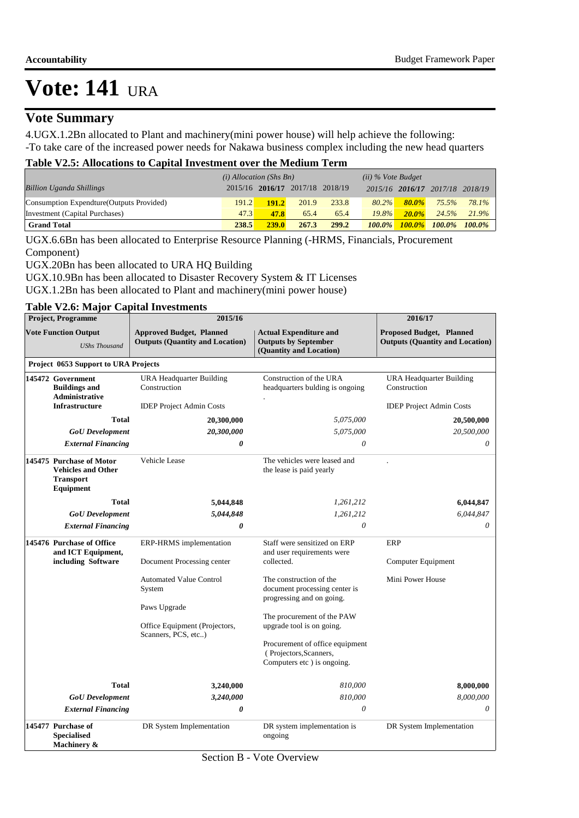### **Vote Summary**

4.UGX.1.2Bn allocated to Plant and machinery(mini power house) will help achieve the following: -To take care of the increased power needs for Nakawa business complex including the new head quarters

#### **Table V2.5: Allocations to Capital Investment over the Medium Term**

|                                           | $(i)$ Allocation (Shs Bn) |                                 |       | $(ii)$ % Vote Budget |           |           |                                 |       |
|-------------------------------------------|---------------------------|---------------------------------|-------|----------------------|-----------|-----------|---------------------------------|-------|
| <b>Billion Uganda Shillings</b>           |                           | 2015/16 2016/17 2017/18 2018/19 |       |                      |           |           | 2015/16 2016/17 2017/18 2018/19 |       |
| Consumption Expendture (Outputs Provided) | 191.2                     | 191.2                           | 201.9 | 233.8                | $80.2\%$  | $80.0\%$  | 75.5%                           | 78.1% |
| Investment (Capital Purchases)            | 47.3                      | 47.8                            | 65.4  | 65.4                 | $19.8\%$  | $20.0\%$  | 24.5%                           | 21.9% |
| <b>Grand Total</b>                        | 238.5                     | <b>239.0</b>                    | 267.3 | 299.2                | $100.0\%$ | $100.0\%$ | $100.0\%$ $100.0\%$             |       |

UGX.6.6Bn has been allocated to Enterprise Resource Planning (-HRMS, Financials, Procurement Component)

UGX.20Bn has been allocated to URA HQ Building

UGX.10.9Bn has been allocated to Disaster Recovery System & IT Licenses

UGX.1.2Bn has been allocated to Plant and machinery(mini power house)

#### **Table V2.6: Major Capital Investments**

| Project, Programme     |                                                                                        | 2015/16                                                                                                                                                              |                                                                                                                                                     |                                                                           |  |  |  |  |
|------------------------|----------------------------------------------------------------------------------------|----------------------------------------------------------------------------------------------------------------------------------------------------------------------|-----------------------------------------------------------------------------------------------------------------------------------------------------|---------------------------------------------------------------------------|--|--|--|--|
|                        | <b>Vote Function Output</b><br><b>UShs Thousand</b>                                    | <b>Approved Budget, Planned</b><br><b>Actual Expenditure and</b><br><b>Outputs by September</b><br><b>Outputs (Quantity and Location)</b><br>(Quantity and Location) |                                                                                                                                                     | <b>Proposed Budget, Planned</b><br><b>Outputs (Quantity and Location)</b> |  |  |  |  |
|                        | Project 0653 Support to URA Projects                                                   |                                                                                                                                                                      |                                                                                                                                                     |                                                                           |  |  |  |  |
|                        | 145472 Government<br><b>Buildings and</b><br><b>Administrative</b>                     | URA Headquarter Building<br>Construction                                                                                                                             | Construction of the URA<br>headquarters bulding is ongoing                                                                                          | URA Headquarter Building<br>Construction                                  |  |  |  |  |
|                        | <b>Infrastructure</b>                                                                  | <b>IDEP</b> Project Admin Costs                                                                                                                                      |                                                                                                                                                     | <b>IDEP</b> Project Admin Costs                                           |  |  |  |  |
|                        | <b>Total</b>                                                                           | 20,300,000                                                                                                                                                           | 5,075,000                                                                                                                                           | 20,500,000                                                                |  |  |  |  |
|                        | <b>GoU</b> Development                                                                 | 20,300,000                                                                                                                                                           | 5,075,000                                                                                                                                           | 20,500,000                                                                |  |  |  |  |
|                        | <b>External Financing</b>                                                              | 0                                                                                                                                                                    | 0                                                                                                                                                   | 0                                                                         |  |  |  |  |
|                        | 145475 Purchase of Motor<br><b>Vehicles and Other</b><br><b>Transport</b><br>Equipment | Vehicle Lease                                                                                                                                                        | The vehicles were leased and<br>the lease is paid yearly                                                                                            |                                                                           |  |  |  |  |
|                        | <b>Total</b>                                                                           | 5,044,848                                                                                                                                                            | 1,261,212                                                                                                                                           | 6,044,847                                                                 |  |  |  |  |
| <b>GoU</b> Development |                                                                                        | 5,044,848                                                                                                                                                            | 1,261,212                                                                                                                                           | 6,044,847                                                                 |  |  |  |  |
|                        | <b>External Financing</b>                                                              | 0                                                                                                                                                                    | $\theta$                                                                                                                                            | $\theta$                                                                  |  |  |  |  |
|                        | 145476 Purchase of Office<br>and ICT Equipment,<br>including Software                  | ERP-HRMS implementation<br>Document Processing center                                                                                                                | Staff were sensitized on ERP<br>and user requirements were<br>collected.                                                                            | ERP<br>Computer Equipment                                                 |  |  |  |  |
|                        |                                                                                        | Automated Value Control<br>System<br>Paws Upgrade                                                                                                                    | The construction of the<br>document processing center is<br>progressing and on going.                                                               | Mini Power House                                                          |  |  |  |  |
|                        |                                                                                        | Office Equipment (Projectors,<br>Scanners, PCS, etc)                                                                                                                 | The procurement of the PAW<br>upgrade tool is on going.<br>Procurement of office equipment<br>(Projectors, Scanners,<br>Computers etc ) is ongoing. |                                                                           |  |  |  |  |
|                        | <b>Total</b>                                                                           |                                                                                                                                                                      | 810,000                                                                                                                                             | 8,000,000                                                                 |  |  |  |  |
|                        | <b>GoU</b> Development                                                                 | 3,240,000<br>3,240,000                                                                                                                                               | 810,000                                                                                                                                             | 8,000,000                                                                 |  |  |  |  |
|                        | <b>External Financing</b>                                                              | 0                                                                                                                                                                    | 0                                                                                                                                                   | 0                                                                         |  |  |  |  |
|                        | 145477 Purchase of<br><b>Specialised</b><br>Machinery &                                | DR System Implementation                                                                                                                                             | DR system implementation is<br>ongoing                                                                                                              | DR System Implementation                                                  |  |  |  |  |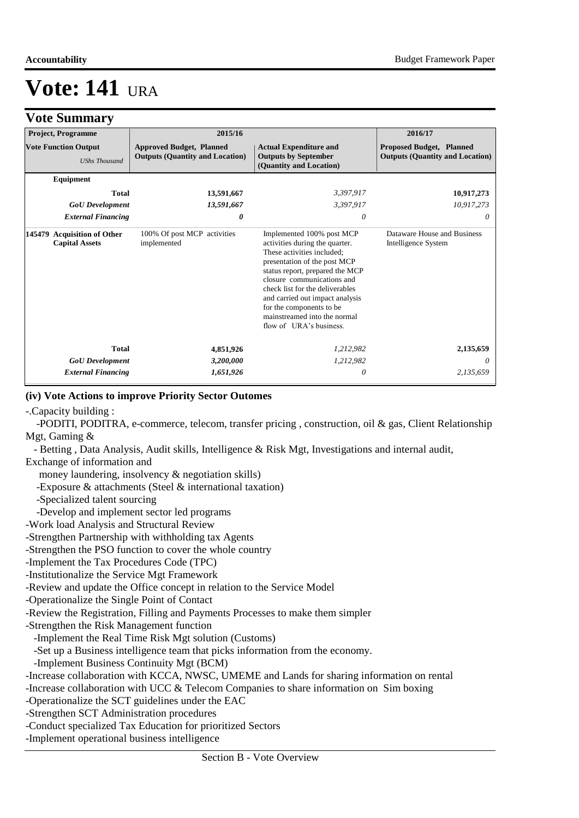**Vote Summary**

# **Vote: 141** URA

| v ole quinimal v                                               |                           |                                                                           |            |                                                                                                                                                                                                                                                                                                                                                         |                                                                           |  |
|----------------------------------------------------------------|---------------------------|---------------------------------------------------------------------------|------------|---------------------------------------------------------------------------------------------------------------------------------------------------------------------------------------------------------------------------------------------------------------------------------------------------------------------------------------------------------|---------------------------------------------------------------------------|--|
|                                                                | <b>Project, Programme</b> |                                                                           | 2015/16    | 2016/17                                                                                                                                                                                                                                                                                                                                                 |                                                                           |  |
| <b>Vote Function Output</b><br><b>UShs Thousand</b>            |                           | <b>Approved Budget, Planned</b><br><b>Outputs (Quantity and Location)</b> |            | <b>Actual Expenditure and</b><br><b>Outputs by September</b><br>(Quantity and Location)                                                                                                                                                                                                                                                                 | <b>Proposed Budget, Planned</b><br><b>Outputs (Quantity and Location)</b> |  |
|                                                                | Equipment                 |                                                                           |            |                                                                                                                                                                                                                                                                                                                                                         |                                                                           |  |
|                                                                | <b>Total</b>              |                                                                           | 13,591,667 | 3,397,917                                                                                                                                                                                                                                                                                                                                               | 10,917,273                                                                |  |
|                                                                | <b>GoU</b> Development    |                                                                           | 13,591,667 | 3,397,917                                                                                                                                                                                                                                                                                                                                               | 10,917,273                                                                |  |
|                                                                | <b>External Financing</b> |                                                                           | 0          | 0                                                                                                                                                                                                                                                                                                                                                       | 0                                                                         |  |
| <b>Acquisition of Other</b><br>145479<br><b>Capital Assets</b> |                           | 100% Of post MCP activities<br>implemented                                |            | Implemented 100% post MCP<br>activities during the quarter.<br>These activities included:<br>presentation of the post MCP<br>status report, prepared the MCP<br>closure communications and<br>check list for the deliverables<br>and carried out impact analysis<br>for the components to be<br>mainstreamed into the normal<br>flow of URA's business. | Dataware House and Business<br>Intelligence System                        |  |
|                                                                | <b>Total</b>              |                                                                           | 4,851,926  | 1,212,982                                                                                                                                                                                                                                                                                                                                               | 2,135,659                                                                 |  |
|                                                                | <b>GoU</b> Development    |                                                                           | 3,200,000  | 1,212,982                                                                                                                                                                                                                                                                                                                                               | 0                                                                         |  |
|                                                                | <b>External Financing</b> |                                                                           | 1,651,926  | 0                                                                                                                                                                                                                                                                                                                                                       | 2,135,659                                                                 |  |

#### **(iv) Vote Actions to improve Priority Sector Outomes**

-.Capacity building :

 -PODITI, PODITRA, e-commerce, telecom, transfer pricing , construction, oil & gas, Client Relationship Mgt, Gaming &

- Betting , Data Analysis, Audit skills, Intelligence & Risk Mgt, Investigations and internal audit,

Exchange of information and

money laundering, insolvency & negotiation skills)

-Exposure & attachments (Steel & international taxation)

-Specialized talent sourcing

-Develop and implement sector led programs

-Work load Analysis and Structural Review

-Strengthen Partnership with withholding tax Agents

-Strengthen the PSO function to cover the whole country

-Implement the Tax Procedures Code (TPC)

-Institutionalize the Service Mgt Framework

-Review and update the Office concept in relation to the Service Model

-Operationalize the Single Point of Contact

-Review the Registration, Filling and Payments Processes to make them simpler

-Strengthen the Risk Management function

-Implement the Real Time Risk Mgt solution (Customs)

-Set up a Business intelligence team that picks information from the economy.

-Implement Business Continuity Mgt (BCM)

-Increase collaboration with KCCA, NWSC, UMEME and Lands for sharing information on rental

-Increase collaboration with UCC & Telecom Companies to share information on Sim boxing

-Operationalize the SCT guidelines under the EAC

-Strengthen SCT Administration procedures

-Conduct specialized Tax Education for prioritized Sectors

-Implement operational business intelligence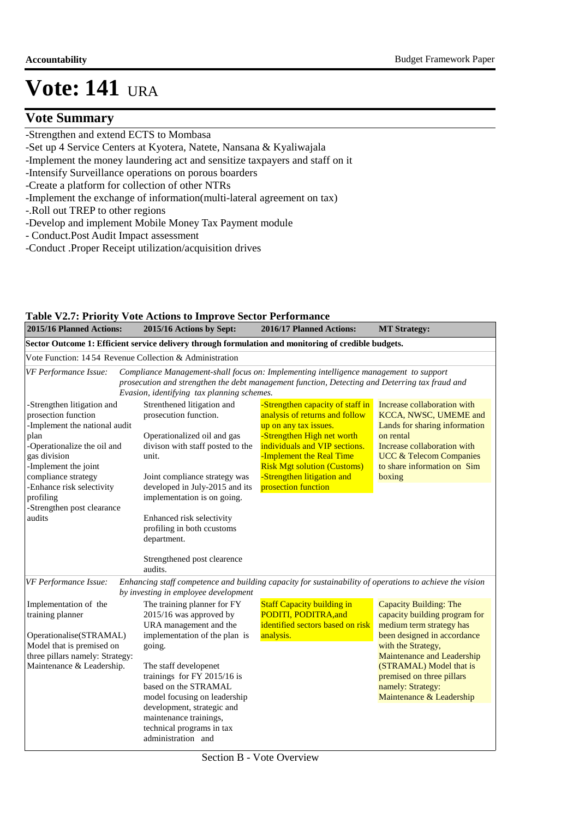### **Vote Summary**

- -Strengthen and extend ECTS to Mombasa
- -Set up 4 Service Centers at Kyotera, Natete, Nansana & Kyaliwajala
- -Implement the money laundering act and sensitize taxpayers and staff on it
- -Intensify Surveillance operations on porous boarders
- -Create a platform for collection of other NTRs
- -Implement the exchange of information(multi-lateral agreement on tax)
- -. Roll out TREP to other regions
- -Develop and implement Mobile Money Tax Payment module
- Conduct.Post Audit Impact assessment
- -Conduct .Proper Receipt utilization/acquisition drives

|                                                                                                                                                                                                                                                                            | <b>Table V2.7: Priority Vote Actions to Improve Sector Performance</b>                                                                                                                                                                                                                                      |                                                                                                                                                                                                                                                                                   |                                                                                                                                                                                                                  |
|----------------------------------------------------------------------------------------------------------------------------------------------------------------------------------------------------------------------------------------------------------------------------|-------------------------------------------------------------------------------------------------------------------------------------------------------------------------------------------------------------------------------------------------------------------------------------------------------------|-----------------------------------------------------------------------------------------------------------------------------------------------------------------------------------------------------------------------------------------------------------------------------------|------------------------------------------------------------------------------------------------------------------------------------------------------------------------------------------------------------------|
| 2015/16 Planned Actions:                                                                                                                                                                                                                                                   | 2015/16 Actions by Sept:                                                                                                                                                                                                                                                                                    | 2016/17 Planned Actions:                                                                                                                                                                                                                                                          | <b>MT Strategy:</b>                                                                                                                                                                                              |
|                                                                                                                                                                                                                                                                            | Sector Outcome 1: Efficient service delivery through formulation and monitoring of credible budgets.                                                                                                                                                                                                        |                                                                                                                                                                                                                                                                                   |                                                                                                                                                                                                                  |
| Vote Function: 14.54 Revenue Collection & Administration                                                                                                                                                                                                                   |                                                                                                                                                                                                                                                                                                             |                                                                                                                                                                                                                                                                                   |                                                                                                                                                                                                                  |
| VF Performance Issue:                                                                                                                                                                                                                                                      | Compliance Management-shall focus on: Implementing intelligence management to support<br>prosecution and strengthen the debt management function, Detecting and Deterring tax fraud and<br>Evasion, identifying tax planning schemes.                                                                       |                                                                                                                                                                                                                                                                                   |                                                                                                                                                                                                                  |
| -Strengthen litigation and<br>prosection function<br>-Implement the national audit<br>plan<br>-Operationalize the oil and<br>gas division<br>-Implement the joint<br>compliance strategy<br>-Enhance risk selectivity<br>profiling<br>-Strengthen post clearance<br>audits | Strenthened litigation and<br>prosecution function.<br>Operationalized oil and gas<br>divison with staff posted to the<br>unit.<br>Joint compliance strategy was<br>developed in July-2015 and its<br>implementation is on going.<br>Enhanced risk selectivity<br>profiling in both ccustoms<br>department. | -Strengthen capacity of staff in<br>analysis of returns and follow<br>up on any tax issues.<br>-Strengthen High net worth<br>individuals and VIP sections.<br>-Implement the Real Time<br><b>Risk Mgt solution (Customs)</b><br>-Strengthen litigation and<br>prosection function | Increase collaboration with<br>KCCA, NWSC, UMEME and<br>Lands for sharing information<br>on rental<br>Increase collaboration with<br><b>UCC &amp; Telecom Companies</b><br>to share information on Sim<br>boxing |
|                                                                                                                                                                                                                                                                            | Strengthened post clearence<br>audits.                                                                                                                                                                                                                                                                      |                                                                                                                                                                                                                                                                                   |                                                                                                                                                                                                                  |
| VF Performance Issue:                                                                                                                                                                                                                                                      | Enhancing staff competence and building capacity for sustainability of operations to achieve the vision<br>by investing in employee development                                                                                                                                                             |                                                                                                                                                                                                                                                                                   |                                                                                                                                                                                                                  |
| Implementation of the<br>training planner<br>Operationalise(STRAMAL)                                                                                                                                                                                                       | The training planner for FY<br>2015/16 was approved by<br>URA management and the<br>implementation of the plan is                                                                                                                                                                                           | <b>Staff Capacity building in</b><br>PODITI, PODITRA, and<br>identified sectors based on risk<br>analysis.                                                                                                                                                                        | Capacity Building: The<br>capacity building program for<br>medium term strategy has<br>been designed in accordance                                                                                               |
| Model that is premised on<br>three pillars namely: Strategy:<br>Maintenance & Leadership.                                                                                                                                                                                  | going.<br>The staff developenet<br>trainings for FY 2015/16 is<br>based on the STRAMAL<br>model focusing on leadership                                                                                                                                                                                      |                                                                                                                                                                                                                                                                                   | with the Strategy,<br>Maintenance and Leadership<br>(STRAMAL) Model that is<br>premised on three pillars<br>namely: Strategy:<br>Maintenance & Leadership                                                        |
|                                                                                                                                                                                                                                                                            | development, strategic and<br>maintenance trainings,<br>technical programs in tax<br>administration and                                                                                                                                                                                                     |                                                                                                                                                                                                                                                                                   |                                                                                                                                                                                                                  |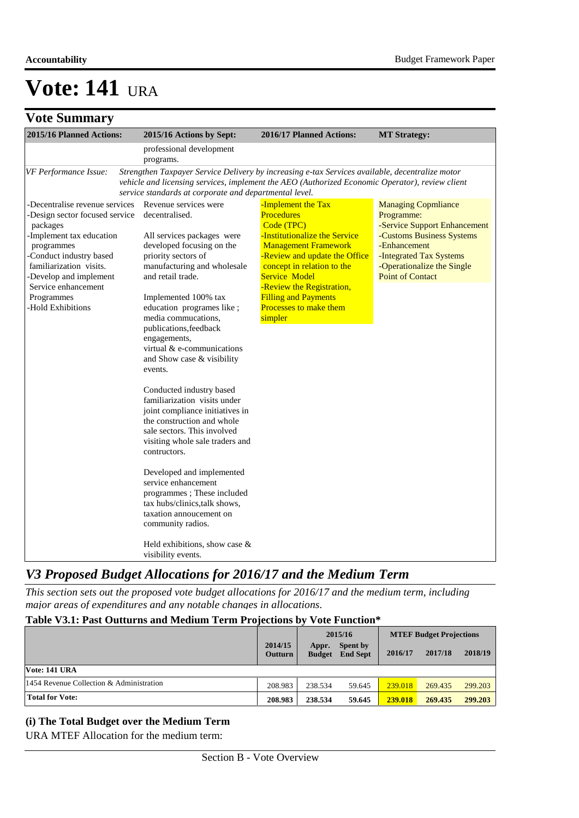## **Vote Summary**

| 2015/16 Planned Actions:                                                                                                                                                                                                                                         | 2015/16 Actions by Sept:                                                                                                                                                                                                                                                                                                                                                                                                                                                                                                                                                                                                                                                                                                                                                                        | 2016/17 Planned Actions:                                                                                                                                                                                                                                                                                      | <b>MT Strategy:</b>                                                                                                                                                                                       |
|------------------------------------------------------------------------------------------------------------------------------------------------------------------------------------------------------------------------------------------------------------------|-------------------------------------------------------------------------------------------------------------------------------------------------------------------------------------------------------------------------------------------------------------------------------------------------------------------------------------------------------------------------------------------------------------------------------------------------------------------------------------------------------------------------------------------------------------------------------------------------------------------------------------------------------------------------------------------------------------------------------------------------------------------------------------------------|---------------------------------------------------------------------------------------------------------------------------------------------------------------------------------------------------------------------------------------------------------------------------------------------------------------|-----------------------------------------------------------------------------------------------------------------------------------------------------------------------------------------------------------|
|                                                                                                                                                                                                                                                                  | professional development<br>programs.                                                                                                                                                                                                                                                                                                                                                                                                                                                                                                                                                                                                                                                                                                                                                           |                                                                                                                                                                                                                                                                                                               |                                                                                                                                                                                                           |
| VF Performance Issue:                                                                                                                                                                                                                                            | service standards at corporate and departmental level.                                                                                                                                                                                                                                                                                                                                                                                                                                                                                                                                                                                                                                                                                                                                          | Strengthen Taxpayer Service Delivery by increasing e-tax Services available, decentralize motor<br>vehicle and licensing services, implement the AEO (Authorized Economic Operator), review client                                                                                                            |                                                                                                                                                                                                           |
| -Decentralise revenue services<br>-Design sector focused service<br>packages<br>-Implement tax education<br>programmes<br>-Conduct industry based<br>familiarization visits.<br>-Develop and implement<br>Service enhancement<br>Programmes<br>-Hold Exhibitions | Revenue services were<br>decentralised.<br>All services packages were<br>developed focusing on the<br>priority sectors of<br>manufacturing and wholesale<br>and retail trade.<br>Implemented 100% tax<br>education programes like;<br>media commucations,<br>publications, feedback<br>engagements,<br>virtual $&$ e-communications<br>and Show case & visibility<br>events.<br>Conducted industry based<br>familiarization visits under<br>joint compliance initiatives in<br>the construction and whole<br>sale sectors. This involved<br>visiting whole sale traders and<br>contructors.<br>Developed and implemented<br>service enhancement<br>programmes; These included<br>tax hubs/clinics, talk shows,<br>taxation annoucement on<br>community radios.<br>Held exhibitions, show case & | -Implement the Tax<br><b>Procedures</b><br>Code (TPC)<br>-Institutionalize the Service<br><b>Management Framework</b><br>-Review and update the Office<br>concept in relation to the<br><b>Service Model</b><br>-Review the Registration,<br><b>Filling and Payments</b><br>Processes to make them<br>simpler | <b>Managing Copmliance</b><br>Programme:<br>-Service Support Enhancement<br>-Customs Business Systems<br>-Enhancement<br>-Integrated Tax Systems<br>-Operationalize the Single<br><b>Point of Contact</b> |
|                                                                                                                                                                                                                                                                  | visibility events.                                                                                                                                                                                                                                                                                                                                                                                                                                                                                                                                                                                                                                                                                                                                                                              |                                                                                                                                                                                                                                                                                                               |                                                                                                                                                                                                           |

### *V3 Proposed Budget Allocations for 2016/17 and the Medium Term*

*This section sets out the proposed vote budget allocations for 2016/17 and the medium term, including major areas of expenditures and any notable changes in allocations.* 

#### **Table V3.1: Past Outturns and Medium Term Projections by Vote Function\***

|                                          |                           | 2015/16                |                             | <b>MTEF Budget Projections</b> |         |         |
|------------------------------------------|---------------------------|------------------------|-----------------------------|--------------------------------|---------|---------|
|                                          | 2014/15<br><b>Outturn</b> | Appr.<br><b>Budget</b> | Spent by<br><b>End Sept</b> | 2016/17                        | 2017/18 | 2018/19 |
| Vote: 141 URA                            |                           |                        |                             |                                |         |         |
| 1454 Revenue Collection & Administration | 208.983                   | 238.534                | 59.645                      | 239.018                        | 269.435 | 299.203 |
| <b>Total for Vote:</b>                   | 208.983                   | 238.534                | 59.645                      | 239.018                        | 269.435 | 299.203 |

#### **(i) The Total Budget over the Medium Term**

URA MTEF Allocation for the medium term: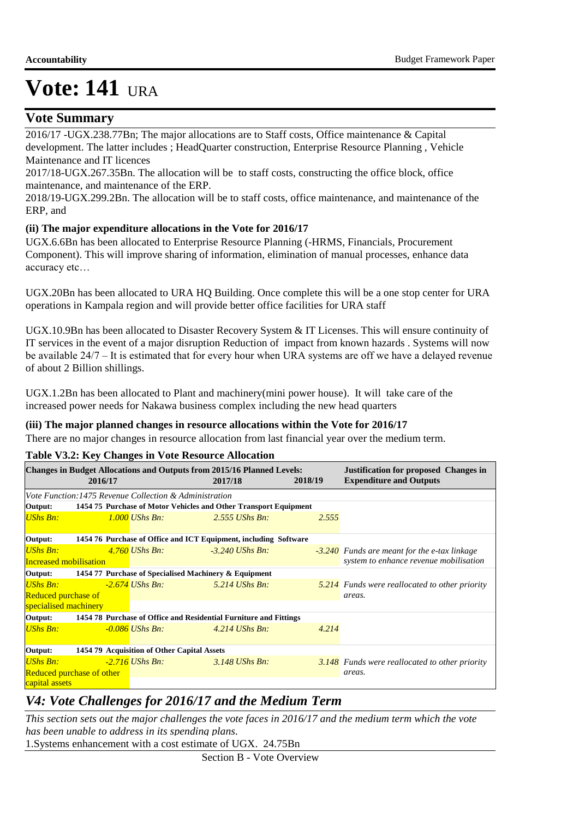### **Vote Summary**

2016/17 -UGX.238.77Bn; The major allocations are to Staff costs, Office maintenance & Capital development. The latter includes ; HeadQuarter construction, Enterprise Resource Planning , Vehicle Maintenance and IT licences

2017/18-UGX.267.35Bn. The allocation will be to staff costs, constructing the office block, office maintenance, and maintenance of the ERP.

2018/19-UGX.299.2Bn. The allocation will be to staff costs, office maintenance, and maintenance of the ERP, and

#### **(ii) The major expenditure allocations in the Vote for 2016/17**

UGX.6.6Bn has been allocated to Enterprise Resource Planning (-HRMS, Financials, Procurement Component). This will improve sharing of information, elimination of manual processes, enhance data accuracy etc…

UGX.20Bn has been allocated to URA HQ Building. Once complete this will be a one stop center for URA operations in Kampala region and will provide better office facilities for URA staff

UGX.10.9Bn has been allocated to Disaster Recovery System & IT Licenses. This will ensure continuity of IT services in the event of a major disruption Reduction of impact from known hazards . Systems will now be available 24/7 – It is estimated that for every hour when URA systems are off we have a delayed revenue of about 2 Billion shillings.

UGX.1.2Bn has been allocated to Plant and machinery(mini power house). It will take care of the increased power needs for Nakawa business complex including the new head quarters

#### **(iii) The major planned changes in resource allocations within the Vote for 2016/17**

There are no major changes in resource allocation from last financial year over the medium term.

**Table V3.2: Key Changes in Vote Resource Allocation**

|                                              | 2016/17 |                                                        | <b>Changes in Budget Allocations and Outputs from 2015/16 Planned Levels:</b><br>2017/18 | 2018/19 | <b>Justification for proposed Changes in</b><br><b>Expenditure and Outputs</b> |
|----------------------------------------------|---------|--------------------------------------------------------|------------------------------------------------------------------------------------------|---------|--------------------------------------------------------------------------------|
|                                              |         | Vote Function:1475 Revenue Collection & Administration |                                                                                          |         |                                                                                |
| Output:                                      |         |                                                        | 1454 75 Purchase of Motor Vehicles and Other Transport Equipment                         |         |                                                                                |
| UShs Bn:                                     |         | $1.000$ UShs Bn:                                       | $2.555$ UShs Bn:                                                                         | 2.555   |                                                                                |
| Output:                                      |         |                                                        | 1454 76 Purchase of Office and ICT Equipment, including Software                         |         |                                                                                |
| <b>UShs Bn:</b>                              |         | $4.760$ UShs Bn:                                       | $-3.240$ UShs Bn:                                                                        |         | <b>-3.240</b> Funds are meant for the e-tax linkage                            |
| Increased mobilisation                       |         |                                                        |                                                                                          |         | system to enhance revenue mobilisation                                         |
| Output:                                      |         | 1454 77 Purchase of Specialised Machinery & Equipment  |                                                                                          |         |                                                                                |
| <b>UShs Bn:</b>                              |         | $-2.674$ UShs Bn:                                      | 5.214 UShs Bn:                                                                           |         | 5.214 Funds were reallocated to other priority                                 |
| Reduced purchase of<br>specialised machinery |         |                                                        |                                                                                          |         | areas.                                                                         |
| Output:                                      |         |                                                        | 1454 78 Purchase of Office and Residential Furniture and Fittings                        |         |                                                                                |
| <b>UShs Bn:</b>                              |         | $-0.086$ UShs Bn:                                      | $4.214$ UShs Bn:                                                                         | 4.214   |                                                                                |
| Output:                                      |         | 1454 79 Acquisition of Other Capital Assets            |                                                                                          |         |                                                                                |
| <b>UShs Bn:</b>                              |         | $-2.716$ UShs Bn:                                      | $3.148$ UShs Bn.                                                                         |         | 3.148 Funds were reallocated to other priority                                 |
| Reduced purchase of other                    |         |                                                        |                                                                                          |         | areas.                                                                         |
| capital assets                               |         |                                                        |                                                                                          |         |                                                                                |

### *V4: Vote Challenges for 2016/17 and the Medium Term*

*This section sets out the major challenges the vote faces in 2016/17 and the medium term which the vote has been unable to address in its spending plans.*

1.Systems enhancement with a cost estimate of UGX. 24.75Bn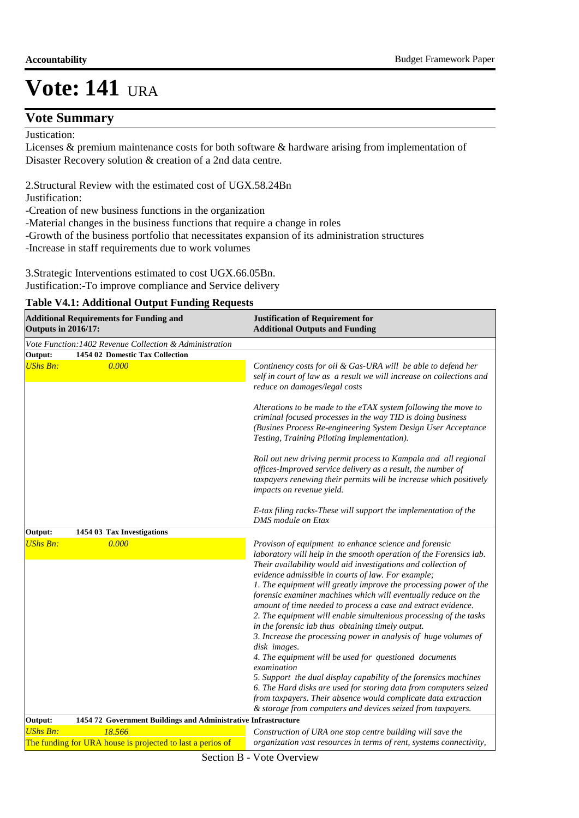### **Vote Summary**

Justication:

Licenses & premium maintenance costs for both software & hardware arising from implementation of Disaster Recovery solution & creation of a 2nd data centre.

2.Structural Review with the estimated cost of UGX.58.24Bn Justification:

-Creation of new business functions in the organization

-Material changes in the business functions that require a change in roles

-Growth of the business portfolio that necessitates expansion of its administration structures

-Increase in staff requirements due to work volumes

3.Strategic Interventions estimated to cost UGX.66.05Bn. Justification:-To improve compliance and Service delivery

#### **Table V4.1: Additional Output Funding Requests**

| Vote Function: 1402 Revenue Collection & Administration<br>1454 02 Domestic Tax Collection<br><b>UShs Bn:</b><br>0.000<br>Continency costs for oil & Gas-URA will be able to defend her<br>self in court of law as a result we will increase on collections and<br>reduce on damages/legal costs<br>Alterations to be made to the eTAX system following the move to<br>criminal focused processes in the way TID is doing business<br>(Busines Process Re-engineering System Design User Acceptance<br>Testing, Training Piloting Implementation).<br>Roll out new driving permit process to Kampala and all regional<br>offices-Improved service delivery as a result, the number of<br>taxpayers renewing their permits will be increase which positively<br>impacts on revenue yield.<br>E-tax filing racks-These will support the implementation of the<br><b>DMS</b> module on Etax<br>1454 03 Tax Investigations<br><b>UShs Bn:</b><br>0.000<br>Provison of equipment to enhance science and forensic<br>laboratory will help in the smooth operation of the Forensics lab.<br>Their availability would aid investigations and collection of<br>evidence admissible in courts of law. For example;<br>1. The equipment will greatly improve the processing power of the<br>forensic examiner machines which will eventually reduce on the<br>amount of time needed to process a case and extract evidence.<br>2. The equipment will enable simultenious processing of the tasks<br>in the forensic lab thus obtaining timely output.<br>3. Increase the processing power in analysis of huge volumes of<br>disk images.<br>4. The equipment will be used for questioned documents<br>examination<br>5. Support the dual display capability of the forensics machines<br>6. The Hard disks are used for storing data from computers seized<br>from taxpayers. Their absence would complicate data extraction<br>& storage from computers and devices seized from taxpayers.<br>1454 72 Government Buildings and Administrative Infrastructure<br>18.566<br>Construction of URA one stop centre building will save the<br>The funding for URA house is projected to last a perios of<br>organization vast resources in terms of rent, systems connectivity, | <b>Outputs in 2016/17:</b> | <b>Additional Requirements for Funding and</b> | <b>Justification of Requirement for</b><br><b>Additional Outputs and Funding</b> |  |  |
|-----------------------------------------------------------------------------------------------------------------------------------------------------------------------------------------------------------------------------------------------------------------------------------------------------------------------------------------------------------------------------------------------------------------------------------------------------------------------------------------------------------------------------------------------------------------------------------------------------------------------------------------------------------------------------------------------------------------------------------------------------------------------------------------------------------------------------------------------------------------------------------------------------------------------------------------------------------------------------------------------------------------------------------------------------------------------------------------------------------------------------------------------------------------------------------------------------------------------------------------------------------------------------------------------------------------------------------------------------------------------------------------------------------------------------------------------------------------------------------------------------------------------------------------------------------------------------------------------------------------------------------------------------------------------------------------------------------------------------------------------------------------------------------------------------------------------------------------------------------------------------------------------------------------------------------------------------------------------------------------------------------------------------------------------------------------------------------------------------------------------------------------------------------------------------------------------------------------------------------------------------------------|----------------------------|------------------------------------------------|----------------------------------------------------------------------------------|--|--|
|                                                                                                                                                                                                                                                                                                                                                                                                                                                                                                                                                                                                                                                                                                                                                                                                                                                                                                                                                                                                                                                                                                                                                                                                                                                                                                                                                                                                                                                                                                                                                                                                                                                                                                                                                                                                                                                                                                                                                                                                                                                                                                                                                                                                                                                                 |                            |                                                |                                                                                  |  |  |
|                                                                                                                                                                                                                                                                                                                                                                                                                                                                                                                                                                                                                                                                                                                                                                                                                                                                                                                                                                                                                                                                                                                                                                                                                                                                                                                                                                                                                                                                                                                                                                                                                                                                                                                                                                                                                                                                                                                                                                                                                                                                                                                                                                                                                                                                 | Output:                    |                                                |                                                                                  |  |  |
|                                                                                                                                                                                                                                                                                                                                                                                                                                                                                                                                                                                                                                                                                                                                                                                                                                                                                                                                                                                                                                                                                                                                                                                                                                                                                                                                                                                                                                                                                                                                                                                                                                                                                                                                                                                                                                                                                                                                                                                                                                                                                                                                                                                                                                                                 |                            |                                                |                                                                                  |  |  |
|                                                                                                                                                                                                                                                                                                                                                                                                                                                                                                                                                                                                                                                                                                                                                                                                                                                                                                                                                                                                                                                                                                                                                                                                                                                                                                                                                                                                                                                                                                                                                                                                                                                                                                                                                                                                                                                                                                                                                                                                                                                                                                                                                                                                                                                                 |                            |                                                |                                                                                  |  |  |
|                                                                                                                                                                                                                                                                                                                                                                                                                                                                                                                                                                                                                                                                                                                                                                                                                                                                                                                                                                                                                                                                                                                                                                                                                                                                                                                                                                                                                                                                                                                                                                                                                                                                                                                                                                                                                                                                                                                                                                                                                                                                                                                                                                                                                                                                 | Output:                    |                                                |                                                                                  |  |  |
|                                                                                                                                                                                                                                                                                                                                                                                                                                                                                                                                                                                                                                                                                                                                                                                                                                                                                                                                                                                                                                                                                                                                                                                                                                                                                                                                                                                                                                                                                                                                                                                                                                                                                                                                                                                                                                                                                                                                                                                                                                                                                                                                                                                                                                                                 |                            |                                                |                                                                                  |  |  |
|                                                                                                                                                                                                                                                                                                                                                                                                                                                                                                                                                                                                                                                                                                                                                                                                                                                                                                                                                                                                                                                                                                                                                                                                                                                                                                                                                                                                                                                                                                                                                                                                                                                                                                                                                                                                                                                                                                                                                                                                                                                                                                                                                                                                                                                                 | Output:                    |                                                |                                                                                  |  |  |
|                                                                                                                                                                                                                                                                                                                                                                                                                                                                                                                                                                                                                                                                                                                                                                                                                                                                                                                                                                                                                                                                                                                                                                                                                                                                                                                                                                                                                                                                                                                                                                                                                                                                                                                                                                                                                                                                                                                                                                                                                                                                                                                                                                                                                                                                 | <b>UShs Bn:</b>            |                                                |                                                                                  |  |  |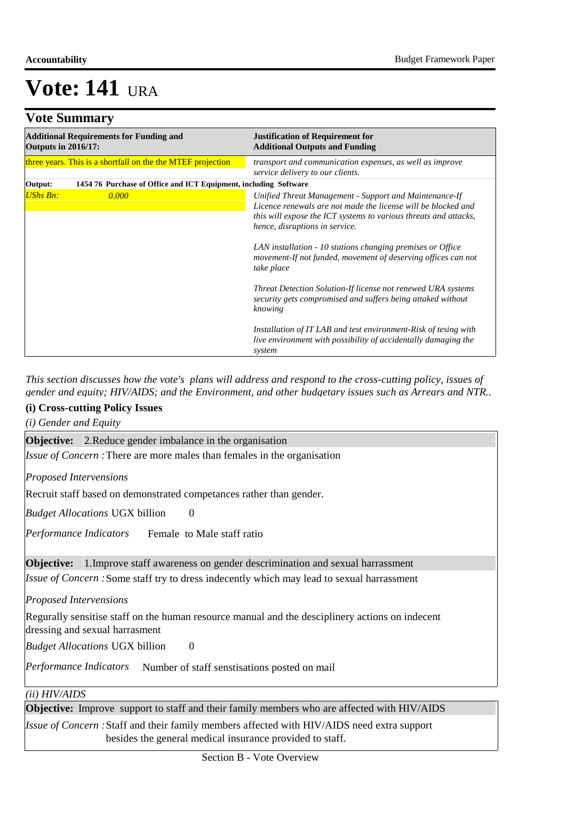### **Vote Summary**

| <b>Outputs in 2016/17:</b> | <b>Additional Requirements for Funding and</b>                   | <b>Justification of Requirement for</b><br><b>Additional Outputs and Funding</b>                                                                                                                                              |  |  |
|----------------------------|------------------------------------------------------------------|-------------------------------------------------------------------------------------------------------------------------------------------------------------------------------------------------------------------------------|--|--|
|                            | three years. This is a shortfall on the the MTEF projection      | transport and communication expenses, as well as improve<br>service delivery to our clients.                                                                                                                                  |  |  |
| Output:                    | 1454 76 Purchase of Office and ICT Equipment, including Software |                                                                                                                                                                                                                               |  |  |
| <b>UShs Bn:</b>            | 0.000                                                            | Unified Threat Management - Support and Maintenance-If<br>Licence renewals are not made the license will be blocked and<br>this will expose the ICT systems to various threats and attacks,<br>hence, disruptions in service. |  |  |
|                            |                                                                  | LAN installation - 10 stations changing premises or Office<br>movement-If not funded, movement of deserving offices can not<br>take place                                                                                     |  |  |
|                            |                                                                  | Threat Detection Solution-If license not renewed URA systems<br>security gets compromised and suffers being attaked without<br>knowing                                                                                        |  |  |
|                            |                                                                  | Installation of IT LAB and test environment-Risk of tesing with<br>live environment with possibility of accidentally damaging the<br>system                                                                                   |  |  |

*This section discusses how the vote's plans will address and respond to the cross-cutting policy, issues of gender and equity; HIV/AIDS; and the Environment, and other budgetary issues such as Arrears and NTR..* 

#### **(i) Cross-cutting Policy Issues**

*(i) Gender and Equity*

**Objective:** 2. Reduce gender imbalance in the organisation

*Issue of Concern* : There are more males than females in the organisation

*Proposed Intervensions* 

Recruit staff based on demonstrated competances rather than gender.

 $\Omega$ *Budget Allocations*  UGX billion

 Female to Male staff ratio *Performance Indicators*

**Objective:** 1.Improve staff awareness on gender descrimination and sexual harrassment

Issue of Concern : Some staff try to dress indecently which may lead to sexual harrassment

*Proposed Intervensions* 

Regurally sensitise staff on the human resource manual and the desciplinery actions on indecent dressing and sexual harrasment

 $\Omega$ *Budget Allocations*  UGX billion

Performance Indicators Number of staff senstisations posted on mail

*(ii) HIV/AIDS*

**Objective:** Improve support to staff and their family members who are affected with HIV/AIDS

*Issue of Concern* : Staff and their family members affected with HIV/AIDS need extra support besides the general medical insurance provided to staff.